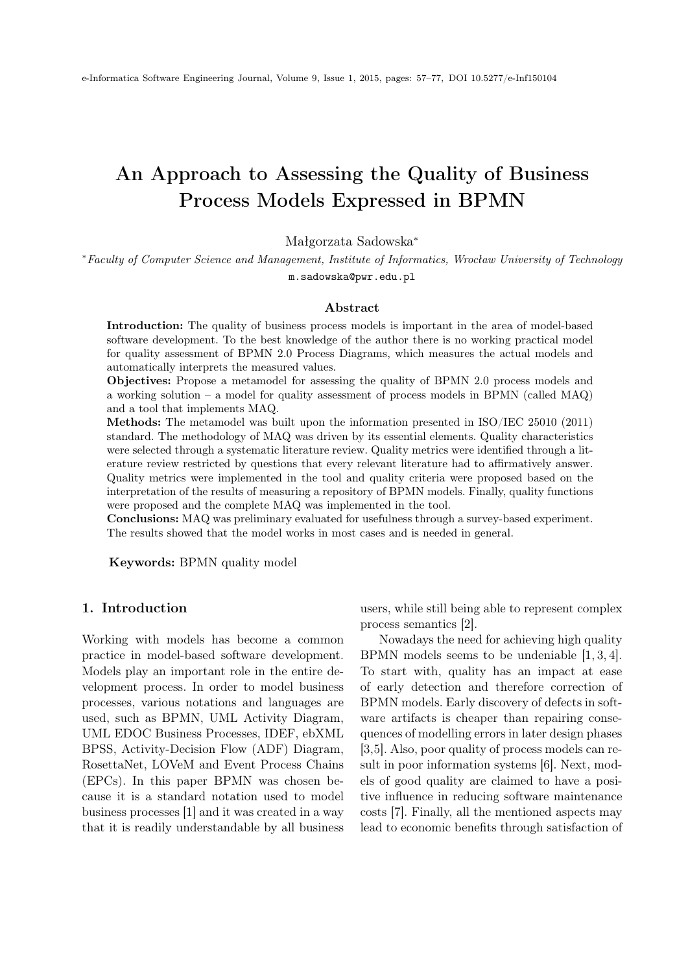# <span id="page-0-0"></span>An Approach to Assessing the Quality of Business Process Models Expressed in BPMN

Małgorzata Sadowska<sup>∗</sup>

<sup>∗</sup>Faculty of Computer Science and Management, Institute of Informatics, Wrocław University of Technology m.sadowska@pwr.edu.pl

### Abstract

Introduction: The quality of business process models is important in the area of model-based software development. To the best knowledge of the author there is no working practical model for quality assessment of BPMN 2.0 Process Diagrams, which measures the actual models and automatically interprets the measured values.

Objectives: Propose a metamodel for assessing the quality of BPMN 2.0 process models and a working solution – a model for quality assessment of process models in BPMN (called MAQ) and a tool that implements MAQ.

Methods: The metamodel was built upon the information presented in ISO/IEC 25010 (2011) standard. The methodology of MAQ was driven by its essential elements. Quality characteristics were selected through a systematic literature review. Quality metrics were identified through a literature review restricted by questions that every relevant literature had to affirmatively answer. Quality metrics were implemented in the tool and quality criteria were proposed based on the interpretation of the results of measuring a repository of BPMN models. Finally, quality functions were proposed and the complete MAQ was implemented in the tool.

Conclusions: MAQ was preliminary evaluated for usefulness through a survey-based experiment. The results showed that the model works in most cases and is needed in general.

Keywords: BPMN quality model

#### 1. Introduction

Working with models has become a common practice in model-based software development. Models play an important role in the entire development process. In order to model business processes, various notations and languages are used, such as BPMN, UML Activity Diagram, UML EDOC Business Processes, IDEF, ebXML BPSS, Activity-Decision Flow (ADF) Diagram, RosettaNet, LOVeM and Event Process Chains (EPCs). In this paper BPMN was chosen because it is a standard notation used to model business processes [\[1\]](#page-18-0) and it was created in a way that it is readily understandable by all business users, while still being able to represent complex process semantics [\[2\]](#page-18-1).

Nowadays the need for achieving high quality BPMN models seems to be undeniable [\[1,](#page-18-0) [3,](#page-18-2) [4\]](#page-18-3). To start with, quality has an impact at ease of early detection and therefore correction of BPMN models. Early discovery of defects in software artifacts is cheaper than repairing consequences of modelling errors in later design phases [\[3,](#page-18-2)[5\]](#page-18-4). Also, poor quality of process models can result in poor information systems [\[6\]](#page-18-5). Next, models of good quality are claimed to have a positive influence in reducing software maintenance costs [\[7\]](#page-18-6). Finally, all the mentioned aspects may lead to economic benefits through satisfaction of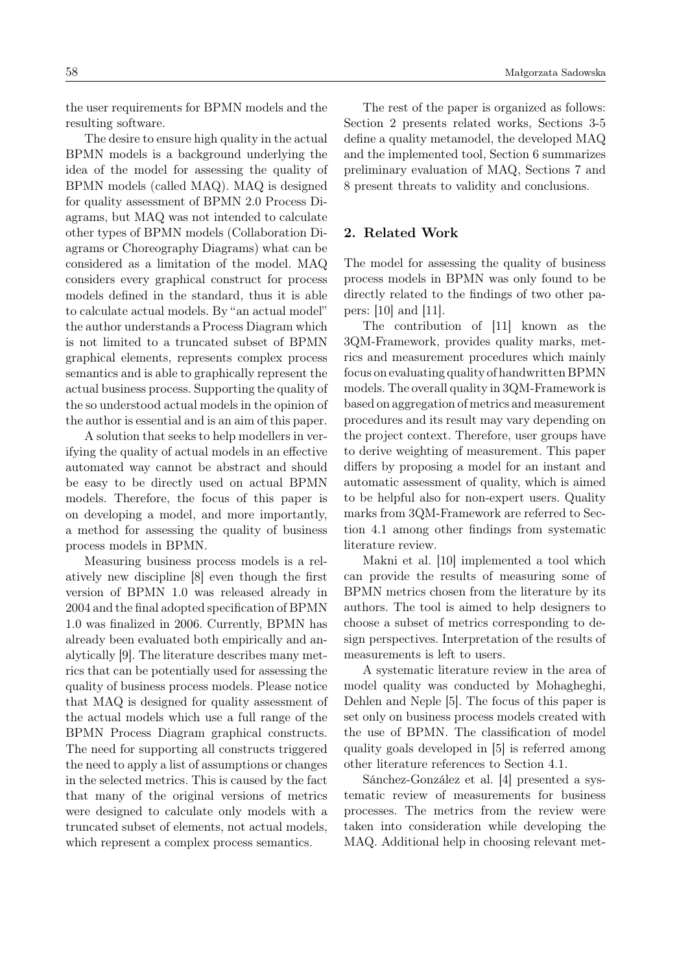the user requirements for BPMN models and the resulting software.

The desire to ensure high quality in the actual BPMN models is a background underlying the idea of the model for assessing the quality of BPMN models (called MAQ). MAQ is designed for quality assessment of BPMN 2.0 Process Diagrams, but MAQ was not intended to calculate other types of BPMN models (Collaboration Diagrams or Choreography Diagrams) what can be considered as a limitation of the model. MAQ considers every graphical construct for process models defined in the standard, thus it is able to calculate actual models. By "an actual model" the author understands a Process Diagram which is not limited to a truncated subset of BPMN graphical elements, represents complex process semantics and is able to graphically represent the actual business process. Supporting the quality of the so understood actual models in the opinion of the author is essential and is an aim of this paper.

A solution that seeks to help modellers in verifying the quality of actual models in an effective automated way cannot be abstract and should be easy to be directly used on actual BPMN models. Therefore, the focus of this paper is on developing a model, and more importantly, a method for assessing the quality of business process models in BPMN.

Measuring business process models is a relatively new discipline [\[8\]](#page-19-0) even though the first version of BPMN 1.0 was released already in 2004 and the final adopted specification of BPMN 1.0 was finalized in 2006. Currently, BPMN has already been evaluated both empirically and analytically [\[9\]](#page-19-1). The literature describes many metrics that can be potentially used for assessing the quality of business process models. Please notice that MAQ is designed for quality assessment of the actual models which use a full range of the BPMN Process Diagram graphical constructs. The need for supporting all constructs triggered the need to apply a list of assumptions or changes in the selected metrics. This is caused by the fact that many of the original versions of metrics were designed to calculate only models with a truncated subset of elements, not actual models, which represent a complex process semantics.

The rest of the paper is organized as follows: Section [2](#page-1-0) presents related works, Sections [3](#page-2-0)[-5](#page-13-0) define a quality metamodel, the developed MAQ and the implemented tool, Section [6](#page-14-0) summarizes preliminary evaluation of MAQ, Sections [7](#page-16-0) and [8](#page-18-7) present threats to validity and conclusions.

### <span id="page-1-0"></span>2. Related Work

The model for assessing the quality of business process models in BPMN was only found to be directly related to the findings of two other papers: [\[10\]](#page-19-2) and [\[11\]](#page-19-3).

The contribution of [\[11\]](#page-19-3) known as the 3QM-Framework, provides quality marks, metrics and measurement procedures which mainly focus on evaluating quality of handwritten BPMN models. The overall quality in 3QM-Framework is based on aggregation of metrics and measurement procedures and its result may vary depending on the project context. Therefore, user groups have to derive weighting of measurement. This paper differs by proposing a model for an instant and automatic assessment of quality, which is aimed to be helpful also for non-expert users. Quality marks from 3QM-Framework are referred to Section [4.1](#page-3-0) among other findings from systematic literature review.

Makni et al. [\[10\]](#page-19-2) implemented a tool which can provide the results of measuring some of BPMN metrics chosen from the literature by its authors. The tool is aimed to help designers to choose a subset of metrics corresponding to design perspectives. Interpretation of the results of measurements is left to users.

A systematic literature review in the area of model quality was conducted by Mohagheghi, Dehlen and Neple [\[5\]](#page-18-4). The focus of this paper is set only on business process models created with the use of BPMN. The classification of model quality goals developed in [\[5\]](#page-18-4) is referred among other literature references to Section [4.1.](#page-3-0)

Sánchez-González et al. [\[4\]](#page-18-3) presented a systematic review of measurements for business processes. The metrics from the review were taken into consideration while developing the MAQ. Additional help in choosing relevant met-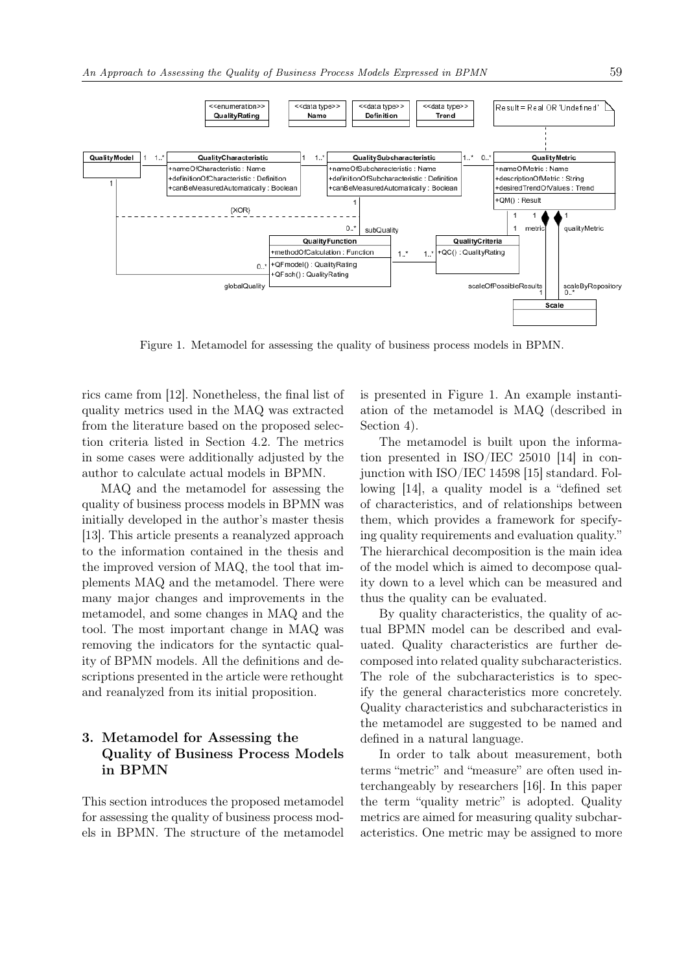

<span id="page-2-1"></span>Figure 1. Metamodel for assessing the quality of business process models in BPMN.

rics came from [\[12\]](#page-19-4). Nonetheless, the final list of quality metrics used in the MAQ was extracted from the literature based on the proposed selection criteria listed in Section [4.2.](#page-5-0) The metrics in some cases were additionally adjusted by the author to calculate actual models in BPMN.

MAQ and the metamodel for assessing the quality of business process models in BPMN was initially developed in the author's master thesis [\[13\]](#page-19-5). This article presents a reanalyzed approach to the information contained in the thesis and the improved version of MAQ, the tool that implements MAQ and the metamodel. There were many major changes and improvements in the metamodel, and some changes in MAQ and the tool. The most important change in MAQ was removing the indicators for the syntactic quality of BPMN models. All the definitions and descriptions presented in the article were rethought and reanalyzed from its initial proposition.

# <span id="page-2-0"></span>3. Metamodel for Assessing the Quality of Business Process Models in BPMN

This section introduces the proposed metamodel for assessing the quality of business process models in BPMN. The structure of the metamodel is presented in Figure [1.](#page-2-1) An example instantiation of the metamodel is MAQ (described in Section [4\)](#page-3-1).

The metamodel is built upon the information presented in ISO/IEC 25010 [\[14\]](#page-19-6) in conjunction with ISO/IEC 14598 [\[15\]](#page-19-7) standard. Following [\[14\]](#page-19-6), a quality model is a "defined set of characteristics, and of relationships between them, which provides a framework for specifying quality requirements and evaluation quality." The hierarchical decomposition is the main idea of the model which is aimed to decompose quality down to a level which can be measured and thus the quality can be evaluated.

By quality characteristics, the quality of actual BPMN model can be described and evaluated. Quality characteristics are further decomposed into related quality subcharacteristics. The role of the subcharacteristics is to specify the general characteristics more concretely. Quality characteristics and subcharacteristics in the metamodel are suggested to be named and defined in a natural language.

In order to talk about measurement, both terms "metric" and "measure" are often used interchangeably by researchers [\[16\]](#page-19-8). In this paper the term "quality metric" is adopted. Quality metrics are aimed for measuring quality subcharacteristics. One metric may be assigned to more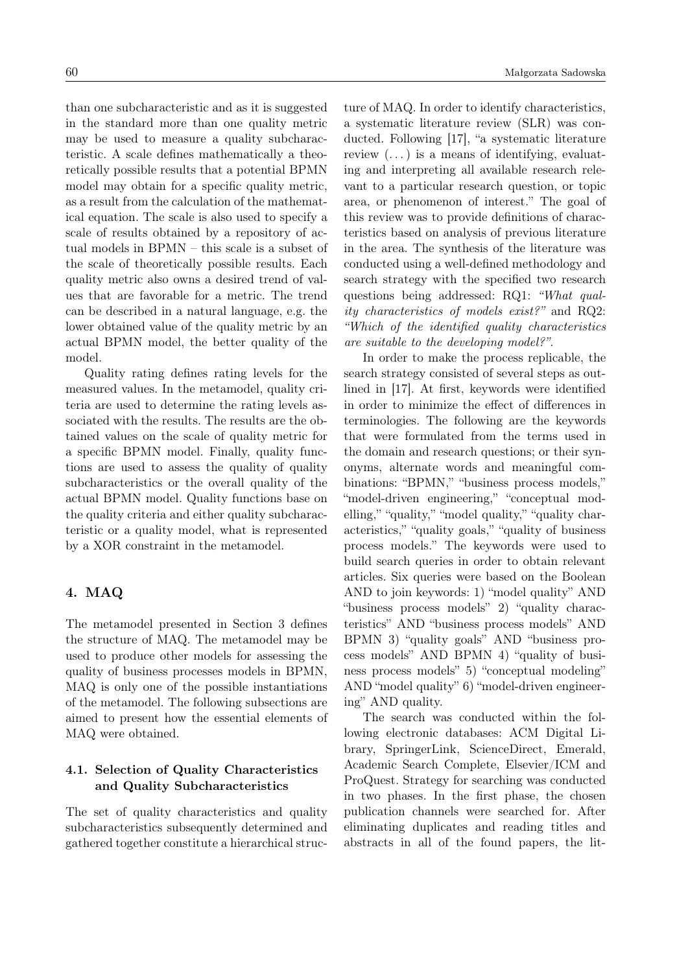than one subcharacteristic and as it is suggested in the standard more than one quality metric may be used to measure a quality subcharacteristic. A scale defines mathematically a theoretically possible results that a potential BPMN model may obtain for a specific quality metric, as a result from the calculation of the mathematical equation. The scale is also used to specify a scale of results obtained by a repository of actual models in BPMN – this scale is a subset of the scale of theoretically possible results. Each quality metric also owns a desired trend of values that are favorable for a metric. The trend can be described in a natural language, e.g. the lower obtained value of the quality metric by an actual BPMN model, the better quality of the model.

Quality rating defines rating levels for the measured values. In the metamodel, quality criteria are used to determine the rating levels associated with the results. The results are the obtained values on the scale of quality metric for a specific BPMN model. Finally, quality functions are used to assess the quality of quality subcharacteristics or the overall quality of the actual BPMN model. Quality functions base on the quality criteria and either quality subcharacteristic or a quality model, what is represented by a XOR constraint in the metamodel.

# <span id="page-3-1"></span>4. MAQ

The metamodel presented in Section [3](#page-2-0) defines the structure of MAQ. The metamodel may be used to produce other models for assessing the quality of business processes models in BPMN, MAQ is only one of the possible instantiations of the metamodel. The following subsections are aimed to present how the essential elements of MAQ were obtained.

# <span id="page-3-0"></span>4.1. Selection of Quality Characteristics and Quality Subcharacteristics

The set of quality characteristics and quality subcharacteristics subsequently determined and gathered together constitute a hierarchical structure of MAQ. In order to identify characteristics, a systematic literature review (SLR) was conducted. Following [\[17\]](#page-19-9), "a systematic literature review  $(\dots)$  is a means of identifying, evaluating and interpreting all available research relevant to a particular research question, or topic area, or phenomenon of interest." The goal of this review was to provide definitions of characteristics based on analysis of previous literature in the area. The synthesis of the literature was conducted using a well-defined methodology and search strategy with the specified two research questions being addressed: RQ1: "What quality characteristics of models exist?" and RQ2: "Which of the identified quality characteristics are suitable to the developing model?".

In order to make the process replicable, the search strategy consisted of several steps as outlined in [\[17\]](#page-19-9). At first, keywords were identified in order to minimize the effect of differences in terminologies. The following are the keywords that were formulated from the terms used in the domain and research questions; or their synonyms, alternate words and meaningful combinations: "BPMN," "business process models," "model-driven engineering," "conceptual modelling," "quality," "model quality," "quality characteristics," "quality goals," "quality of business process models." The keywords were used to build search queries in order to obtain relevant articles. Six queries were based on the Boolean AND to join keywords: 1) "model quality" AND "business process models" 2) "quality characteristics" AND "business process models" AND BPMN 3) "quality goals" AND "business process models" AND BPMN 4) "quality of business process models" 5) "conceptual modeling" AND "model quality" 6) "model-driven engineering" AND quality.

The search was conducted within the following electronic databases: ACM Digital Library, SpringerLink, ScienceDirect, Emerald, Academic Search Complete, Elsevier/ICM and ProQuest. Strategy for searching was conducted in two phases. In the first phase, the chosen publication channels were searched for. After eliminating duplicates and reading titles and abstracts in all of the found papers, the lit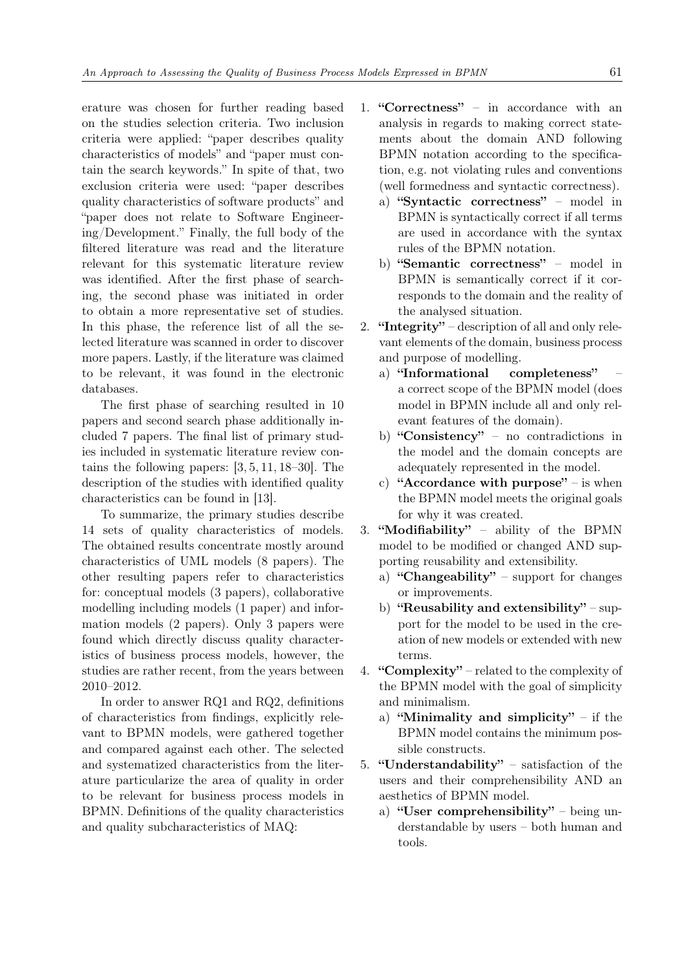erature was chosen for further reading based on the studies selection criteria. Two inclusion criteria were applied: "paper describes quality characteristics of models" and "paper must contain the search keywords." In spite of that, two exclusion criteria were used: "paper describes quality characteristics of software products" and "paper does not relate to Software Engineering/Development." Finally, the full body of the filtered literature was read and the literature relevant for this systematic literature review was identified. After the first phase of searching, the second phase was initiated in order to obtain a more representative set of studies. In this phase, the reference list of all the selected literature was scanned in order to discover more papers. Lastly, if the literature was claimed to be relevant, it was found in the electronic databases.

The first phase of searching resulted in 10 papers and second search phase additionally included 7 papers. The final list of primary studies included in systematic literature review contains the following papers:  $[3, 5, 11, 18-30]$  $[3, 5, 11, 18-30]$  $[3, 5, 11, 18-30]$  $[3, 5, 11, 18-30]$  $[3, 5, 11, 18-30]$ . The description of the studies with identified quality characteristics can be found in [\[13\]](#page-19-5).

To summarize, the primary studies describe 14 sets of quality characteristics of models. The obtained results concentrate mostly around characteristics of UML models (8 papers). The other resulting papers refer to characteristics for: conceptual models (3 papers), collaborative modelling including models (1 paper) and information models (2 papers). Only 3 papers were found which directly discuss quality characteristics of business process models, however, the studies are rather recent, from the years between 2010–2012.

In order to answer RQ1 and RQ2, definitions of characteristics from findings, explicitly relevant to BPMN models, were gathered together and compared against each other. The selected and systematized characteristics from the literature particularize the area of quality in order to be relevant for business process models in BPMN. Definitions of the quality characteristics and quality subcharacteristics of MAQ:

- 1. "Correctness" in accordance with an analysis in regards to making correct statements about the domain AND following BPMN notation according to the specification, e.g. not violating rules and conventions (well formedness and syntactic correctness).
	- a) "Syntactic correctness" model in BPMN is syntactically correct if all terms are used in accordance with the syntax rules of the BPMN notation.
	- b) "Semantic correctness" model in BPMN is semantically correct if it corresponds to the domain and the reality of the analysed situation.
- 2. **"Integrity"** description of all and only relevant elements of the domain, business process and purpose of modelling.
	- a) "Informational completeness" a correct scope of the BPMN model (does model in BPMN include all and only relevant features of the domain).
	- b) "Consistency" no contradictions in the model and the domain concepts are adequately represented in the model.
	- c) "Accordance with purpose" is when the BPMN model meets the original goals for why it was created.
- 3. "Modifiability" ability of the BPMN model to be modified or changed AND supporting reusability and extensibility.
	- a) "Changeability" support for changes or improvements.
	- b) "Reusability and extensibility" support for the model to be used in the creation of new models or extended with new terms.
- 4. "Complexity" related to the complexity of the BPMN model with the goal of simplicity and minimalism.
	- a) "Minimality and simplicity" if the BPMN model contains the minimum possible constructs.
- 5. "Understandability" satisfaction of the users and their comprehensibility AND an aesthetics of BPMN model.
	- a) "User comprehensibility" being understandable by users – both human and tools.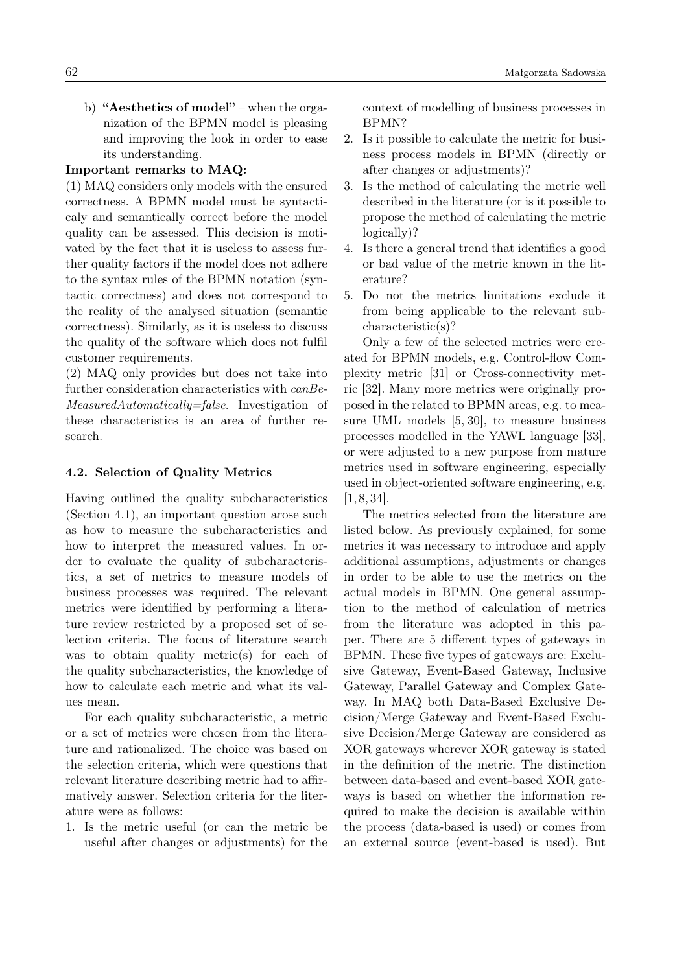b) "Aesthetics of model" – when the organization of the BPMN model is pleasing and improving the look in order to ease its understanding.

## Important remarks to MAQ:

(1) MAQ considers only models with the ensured correctness. A BPMN model must be syntacticaly and semantically correct before the model quality can be assessed. This decision is motivated by the fact that it is useless to assess further quality factors if the model does not adhere to the syntax rules of the BPMN notation (syntactic correctness) and does not correspond to the reality of the analysed situation (semantic correctness). Similarly, as it is useless to discuss the quality of the software which does not fulfil customer requirements.

(2) MAQ only provides but does not take into further consideration characteristics with canBe-MeasuredAutomatically=false. Investigation of these characteristics is an area of further research.

### <span id="page-5-0"></span>4.2. Selection of Quality Metrics

Having outlined the quality subcharacteristics (Section [4.1\)](#page-3-0), an important question arose such as how to measure the subcharacteristics and how to interpret the measured values. In order to evaluate the quality of subcharacteristics, a set of metrics to measure models of business processes was required. The relevant metrics were identified by performing a literature review restricted by a proposed set of selection criteria. The focus of literature search was to obtain quality metric(s) for each of the quality subcharacteristics, the knowledge of how to calculate each metric and what its values mean.

For each quality subcharacteristic, a metric or a set of metrics were chosen from the literature and rationalized. The choice was based on the selection criteria, which were questions that relevant literature describing metric had to affirmatively answer. Selection criteria for the literature were as follows:

1. Is the metric useful (or can the metric be useful after changes or adjustments) for the context of modelling of business processes in BPMN?

- 2. Is it possible to calculate the metric for business process models in BPMN (directly or after changes or adjustments)?
- 3. Is the method of calculating the metric well described in the literature (or is it possible to propose the method of calculating the metric logically)?
- 4. Is there a general trend that identifies a good or bad value of the metric known in the literature?
- 5. Do not the metrics limitations exclude it from being applicable to the relevant subcharacteristic(s)?

Only a few of the selected metrics were created for BPMN models, e.g. Control-flow Complexity metric [\[31\]](#page-19-12) or Cross-connectivity metric [\[32\]](#page-19-13). Many more metrics were originally proposed in the related to BPMN areas, e.g. to measure UML models [\[5,](#page-18-4) [30\]](#page-19-11), to measure business processes modelled in the YAWL language [\[33\]](#page-20-1), or were adjusted to a new purpose from mature metrics used in software engineering, especially used in object-oriented software engineering, e.g.  $[1, 8, 34]$  $[1, 8, 34]$  $[1, 8, 34]$ .

The metrics selected from the literature are listed below. As previously explained, for some metrics it was necessary to introduce and apply additional assumptions, adjustments or changes in order to be able to use the metrics on the actual models in BPMN. One general assumption to the method of calculation of metrics from the literature was adopted in this paper. There are 5 different types of gateways in BPMN. These five types of gateways are: Exclusive Gateway, Event-Based Gateway, Inclusive Gateway, Parallel Gateway and Complex Gateway. In MAQ both Data-Based Exclusive Decision/Merge Gateway and Event-Based Exclusive Decision/Merge Gateway are considered as XOR gateways wherever XOR gateway is stated in the definition of the metric. The distinction between data-based and event-based XOR gateways is based on whether the information required to make the decision is available within the process (data-based is used) or comes from an external source (event-based is used). But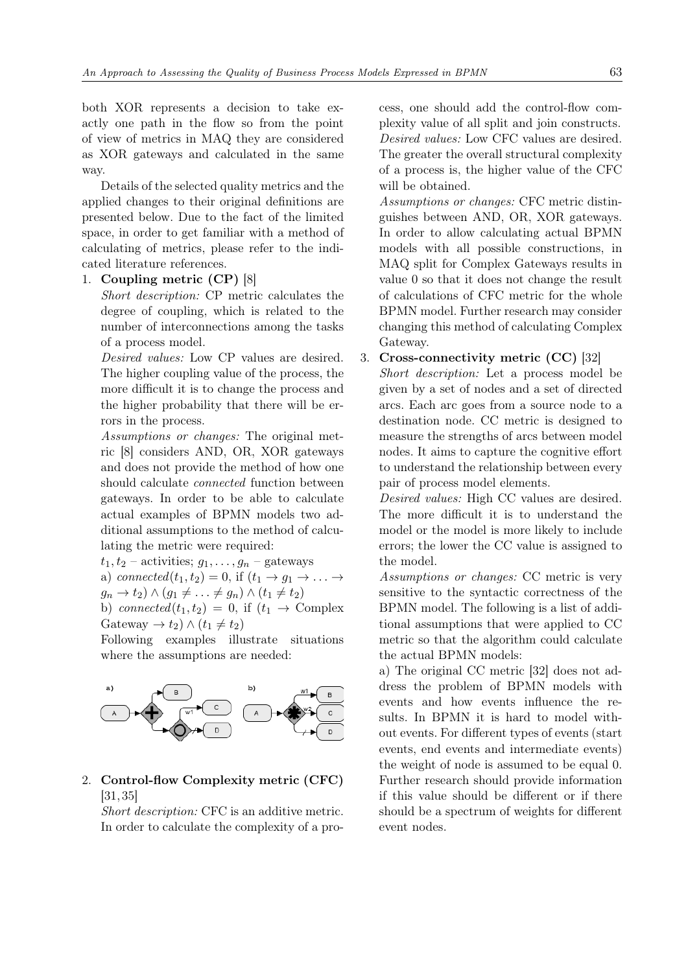both XOR represents a decision to take exactly one path in the flow so from the point of view of metrics in MAQ they are considered as XOR gateways and calculated in the same way.

Details of the selected quality metrics and the applied changes to their original definitions are presented below. Due to the fact of the limited space, in order to get familiar with a method of calculating of metrics, please refer to the indicated literature references.

# 1. Coupling metric (CP) [\[8\]](#page-19-0)

Short description: CP metric calculates the degree of coupling, which is related to the number of interconnections among the tasks of a process model.

Desired values: Low CP values are desired. The higher coupling value of the process, the more difficult it is to change the process and the higher probability that there will be errors in the process.

Assumptions or changes: The original metric [\[8\]](#page-19-0) considers AND, OR, XOR gateways and does not provide the method of how one should calculate connected function between gateways. In order to be able to calculate actual examples of BPMN models two additional assumptions to the method of calculating the metric were required:

 $t_1, t_2$  – activities;  $g_1, \ldots, g_n$  – gateways

a) connected 
$$
(t_1, t_2) = 0
$$
, if  $(t_1 \rightarrow g_1 \rightarrow \dots \rightarrow g_n \rightarrow t_2) \land (g_1 \neq \dots \neq g_n) \land (t_1 \neq t_2)$ 

b) connected $(t_1, t_2) = 0$ , if  $(t_1 \rightarrow$  Complex Gateway  $\rightarrow t_2$ )  $\wedge$   $(t_1 \neq t_2)$ 

Following examples illustrate situations where the assumptions are needed:



# 2. Control-flow Complexity metric (CFC) [\[31,](#page-19-12) [35\]](#page-20-3)

Short description: CFC is an additive metric. In order to calculate the complexity of a process, one should add the control-flow complexity value of all split and join constructs. Desired values: Low CFC values are desired. The greater the overall structural complexity of a process is, the higher value of the CFC will be obtained.

Assumptions or changes: CFC metric distinguishes between AND, OR, XOR gateways. In order to allow calculating actual BPMN models with all possible constructions, in MAQ split for Complex Gateways results in value 0 so that it does not change the result of calculations of CFC metric for the whole BPMN model. Further research may consider changing this method of calculating Complex Gateway.

### 3. Cross-connectivity metric (CC) [\[32\]](#page-19-13)

Short description: Let a process model be given by a set of nodes and a set of directed arcs. Each arc goes from a source node to a destination node. CC metric is designed to measure the strengths of arcs between model nodes. It aims to capture the cognitive effort to understand the relationship between every pair of process model elements.

Desired values: High CC values are desired. The more difficult it is to understand the model or the model is more likely to include errors; the lower the CC value is assigned to the model.

Assumptions or changes: CC metric is very sensitive to the syntactic correctness of the BPMN model. The following is a list of additional assumptions that were applied to CC metric so that the algorithm could calculate the actual BPMN models:

a) The original CC metric [\[32\]](#page-19-13) does not address the problem of BPMN models with events and how events influence the results. In BPMN it is hard to model without events. For different types of events (start events, end events and intermediate events) the weight of node is assumed to be equal 0. Further research should provide information if this value should be different or if there should be a spectrum of weights for different event nodes.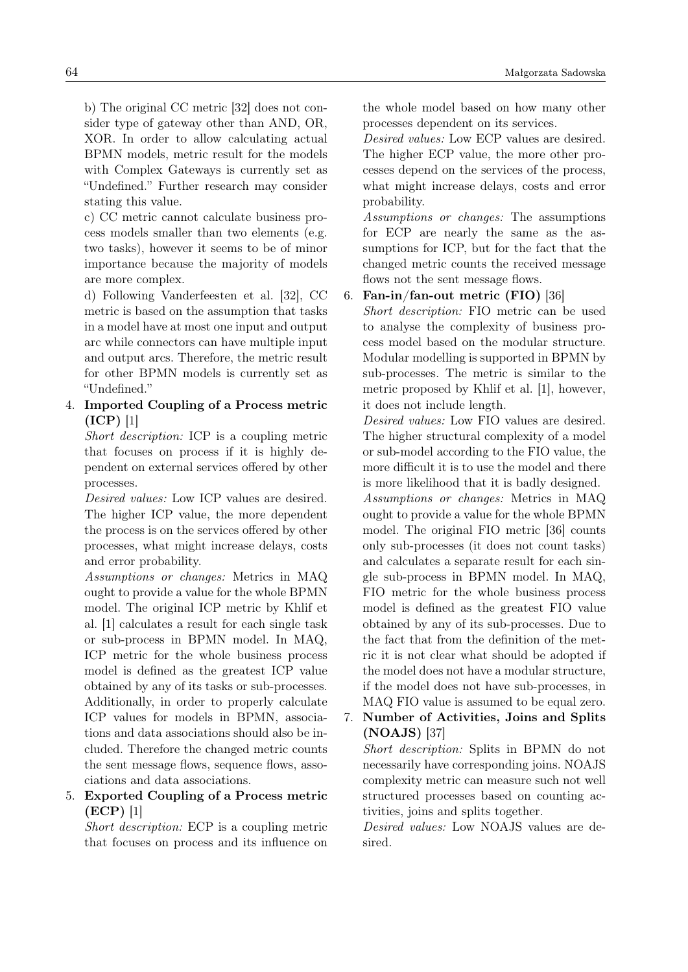b) The original CC metric [\[32\]](#page-19-13) does not consider type of gateway other than AND, OR, XOR. In order to allow calculating actual BPMN models, metric result for the models with Complex Gateways is currently set as "Undefined." Further research may consider stating this value.

c) CC metric cannot calculate business process models smaller than two elements (e.g. two tasks), however it seems to be of minor importance because the majority of models are more complex.

d) Following Vanderfeesten et al. [\[32\]](#page-19-13), CC metric is based on the assumption that tasks in a model have at most one input and output arc while connectors can have multiple input and output arcs. Therefore, the metric result for other BPMN models is currently set as "Undefined."

# 4. Imported Coupling of a Process metric (ICP) [\[1\]](#page-18-0)

Short description: ICP is a coupling metric that focuses on process if it is highly dependent on external services offered by other processes.

Desired values: Low ICP values are desired. The higher ICP value, the more dependent the process is on the services offered by other processes, what might increase delays, costs and error probability.

Assumptions or changes: Metrics in MAQ ought to provide a value for the whole BPMN model. The original ICP metric by Khlif et al. [\[1\]](#page-18-0) calculates a result for each single task or sub-process in BPMN model. In MAQ, ICP metric for the whole business process model is defined as the greatest ICP value obtained by any of its tasks or sub-processes. Additionally, in order to properly calculate ICP values for models in BPMN, associations and data associations should also be included. Therefore the changed metric counts the sent message flows, sequence flows, associations and data associations.

# 5. Exported Coupling of a Process metric (ECP) [\[1\]](#page-18-0)

Short description: ECP is a coupling metric that focuses on process and its influence on the whole model based on how many other processes dependent on its services.

Desired values: Low ECP values are desired. The higher ECP value, the more other processes depend on the services of the process, what might increase delays, costs and error probability.

Assumptions or changes: The assumptions for ECP are nearly the same as the assumptions for ICP, but for the fact that the changed metric counts the received message flows not the sent message flows.

6. Fan-in/fan-out metric (FIO) [\[36\]](#page-20-4)

Short description: FIO metric can be used to analyse the complexity of business process model based on the modular structure. Modular modelling is supported in BPMN by sub-processes. The metric is similar to the metric proposed by Khlif et al. [\[1\]](#page-18-0), however, it does not include length.

Desired values: Low FIO values are desired. The higher structural complexity of a model or sub-model according to the FIO value, the more difficult it is to use the model and there is more likelihood that it is badly designed. Assumptions or changes: Metrics in MAQ ought to provide a value for the whole BPMN model. The original FIO metric [\[36\]](#page-20-4) counts only sub-processes (it does not count tasks) and calculates a separate result for each single sub-process in BPMN model. In MAQ, FIO metric for the whole business process model is defined as the greatest FIO value obtained by any of its sub-processes. Due to the fact that from the definition of the metric it is not clear what should be adopted if the model does not have a modular structure, if the model does not have sub-processes, in MAQ FIO value is assumed to be equal zero.

# 7. Number of Activities, Joins and Splits (NOAJS) [\[37\]](#page-20-5)

Short description: Splits in BPMN do not necessarily have corresponding joins. NOAJS complexity metric can measure such not well structured processes based on counting activities, joins and splits together.

Desired values: Low NOAJS values are desired.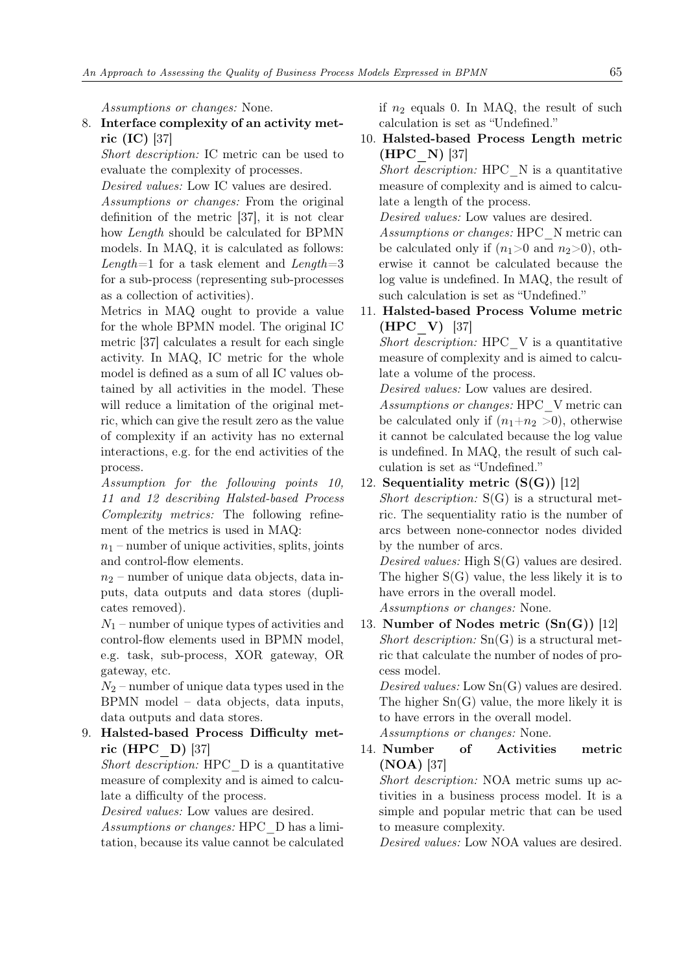Assumptions or changes: None.

# 8. Interface complexity of an activity metric (IC) [\[37\]](#page-20-5)

Short description: IC metric can be used to evaluate the complexity of processes.

Desired values: Low IC values are desired.

Assumptions or changes: From the original definition of the metric [\[37\]](#page-20-5), it is not clear how Length should be calculated for BPMN models. In MAQ, it is calculated as follows: Length=1 for a task element and Length=3 for a sub-process (representing sub-processes as a collection of activities).

Metrics in MAQ ought to provide a value for the whole BPMN model. The original IC metric [\[37\]](#page-20-5) calculates a result for each single activity. In MAQ, IC metric for the whole model is defined as a sum of all IC values obtained by all activities in the model. These will reduce a limitation of the original metric, which can give the result zero as the value of complexity if an activity has no external interactions, e.g. for the end activities of the process.

Assumption for the following points 10, 11 and 12 describing Halsted-based Process Complexity metrics: The following refinement of the metrics is used in MAQ:

 $n_1$  – number of unique activities, splits, joints and control-flow elements.

 $n_2$  – number of unique data objects, data inputs, data outputs and data stores (duplicates removed).

 $N_1$  – number of unique types of activities and control-flow elements used in BPMN model, e.g. task, sub-process, XOR gateway, OR gateway, etc.

 $N_2$  – number of unique data types used in the BPMN model – data objects, data inputs, data outputs and data stores.

# 9. Halsted-based Process Difficulty metric (HPC\_D) [\[37\]](#page-20-5)

Short description: HPC D is a quantitative measure of complexity and is aimed to calculate a difficulty of the process.

Desired values: Low values are desired.

Assumptions or changes: HPC\_D has a limitation, because its value cannot be calculated if  $n_2$  equals 0. In MAQ, the result of such calculation is set as "Undefined."

10. Halsted-based Process Length metric (HPC\_N) [\[37\]](#page-20-5)

Short description: HPC  $\,$  N is a quantitative measure of complexity and is aimed to calculate a length of the process.

Desired values: Low values are desired.

Assumptions or changes: HPC\_N metric can be calculated only if  $(n_1>0 \text{ and } n_2>0)$ , otherwise it cannot be calculated because the log value is undefined. In MAQ, the result of such calculation is set as "Undefined."

11. Halsted-based Process Volume metric (HPC\_V) [\[37\]](#page-20-5)

Short description: HPC V is a quantitative measure of complexity and is aimed to calculate a volume of the process.

Desired values: Low values are desired.

Assumptions or changes: HPC\_V metric can be calculated only if  $(n_1+n_2>0)$ , otherwise it cannot be calculated because the log value is undefined. In MAQ, the result of such calculation is set as "Undefined."

12. Sequentiality metric  $(S(G))$  [\[12\]](#page-19-4)

Short description:  $S(G)$  is a structural metric. The sequentiality ratio is the number of arcs between none-connector nodes divided by the number of arcs.

Desired values: High S(G) values are desired. The higher S(G) value, the less likely it is to have errors in the overall model.

Assumptions or changes: None.

13. Number of Nodes metric (Sn(G)) [\[12\]](#page-19-4) Short description:  $Sn(G)$  is a structural metric that calculate the number of nodes of process model.

Desired values: Low Sn(G) values are desired. The higher Sn(G) value, the more likely it is to have errors in the overall model.

Assumptions or changes: None.

14. Number of Activities metric (NOA) [\[37\]](#page-20-5)

Short description: NOA metric sums up activities in a business process model. It is a simple and popular metric that can be used to measure complexity.

Desired values: Low NOA values are desired.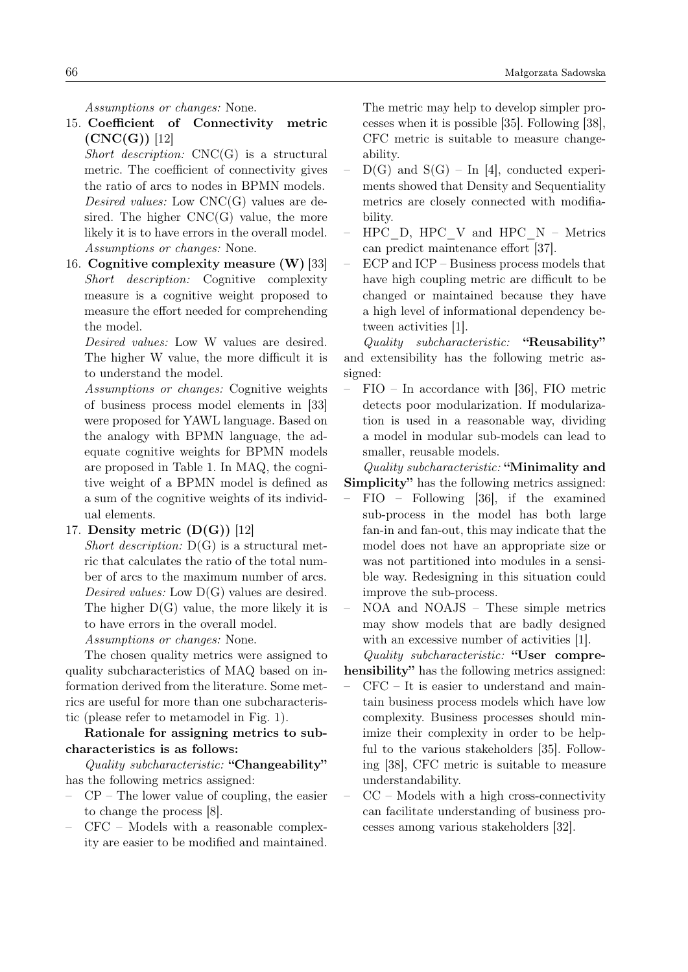Assumptions or changes: None.

15. Coefficient of Connectivity metric  $(CNC(G))$  [\[12\]](#page-19-4)

Short description:  $CNC(G)$  is a structural metric. The coefficient of connectivity gives the ratio of arcs to nodes in BPMN models. Desired values: Low CNC(G) values are desired. The higher  $CNC(G)$  value, the more likely it is to have errors in the overall model. Assumptions or changes: None.

16. Cognitive complexity measure (W) [\[33\]](#page-20-1) Short description: Cognitive complexity measure is a cognitive weight proposed to measure the effort needed for comprehending the model.

Desired values: Low W values are desired. The higher W value, the more difficult it is to understand the model.

Assumptions or changes: Cognitive weights of business process model elements in [\[33\]](#page-20-1) were proposed for YAWL language. Based on the analogy with BPMN language, the adequate cognitive weights for BPMN models are proposed in Table [1.](#page-10-0) In MAQ, the cognitive weight of a BPMN model is defined as a sum of the cognitive weights of its individual elements.

17. Density metric  $(D(G))$  [\[12\]](#page-19-4)

Short description:  $D(G)$  is a structural metric that calculates the ratio of the total number of arcs to the maximum number of arcs. Desired values: Low  $D(G)$  values are desired. The higher  $D(G)$  value, the more likely it is to have errors in the overall model.

Assumptions or changes: None.

The chosen quality metrics were assigned to quality subcharacteristics of MAQ based on information derived from the literature. Some metrics are useful for more than one subcharacteristic (please refer to metamodel in Fig. [1\)](#page-2-1).

Rationale for assigning metrics to subcharacteristics is as follows:

Quality subcharacteristic: "Changeability" has the following metrics assigned:

- $CP$  The lower value of coupling, the easier to change the process [\[8\]](#page-19-0).
- CFC Models with a reasonable complexity are easier to be modified and maintained.

The metric may help to develop simpler processes when it is possible [\[35\]](#page-20-3). Following [\[38\]](#page-20-6), CFC metric is suitable to measure changeability.

- $D(G)$  and  $S(G)$  In [\[4\]](#page-18-3), conducted experiments showed that Density and Sequentiality metrics are closely connected with modifiability.
- $HPC\_D$ ,  $HPC\_V$  and  $HPC\_N$  Metrics can predict maintenance effort [\[37\]](#page-20-5).
- ECP and ICP Business process models that have high coupling metric are difficult to be changed or maintained because they have a high level of informational dependency between activities [\[1\]](#page-18-0).

Quality subcharacteristic: "Reusability" and extensibility has the following metric assigned:

– FIO – In accordance with [\[36\]](#page-20-4), FIO metric detects poor modularization. If modularization is used in a reasonable way, dividing a model in modular sub-models can lead to smaller, reusable models.

Quality subcharacteristic: "Minimality and Simplicity" has the following metrics assigned:

– FIO – Following [\[36\]](#page-20-4), if the examined sub-process in the model has both large fan-in and fan-out, this may indicate that the model does not have an appropriate size or was not partitioned into modules in a sensible way. Redesigning in this situation could improve the sub-process.

– NOA and NOAJS – These simple metrics may show models that are badly designed with an excessive number of activities [\[1\]](#page-18-0).

Quality subcharacteristic: "User comprehensibility" has the following metrics assigned:

- $CFC It$  is easier to understand and maintain business process models which have low complexity. Business processes should minimize their complexity in order to be helpful to the various stakeholders [\[35\]](#page-20-3). Following [\[38\]](#page-20-6), CFC metric is suitable to measure understandability.
- $CC Models$  with a high cross-connectivity can facilitate understanding of business processes among various stakeholders [\[32\]](#page-19-13).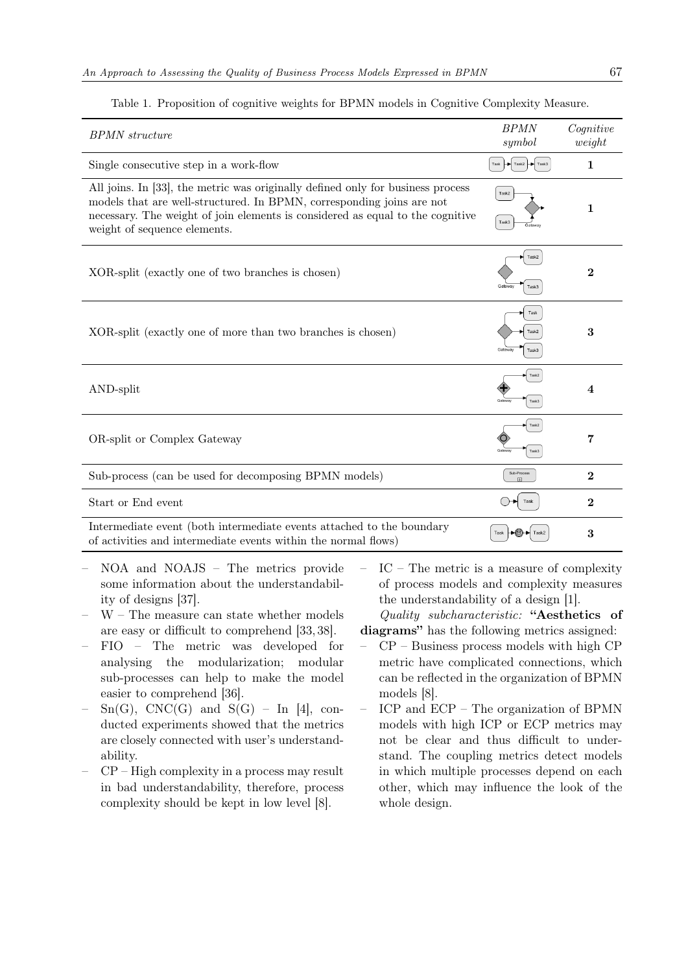| <b>BPMN</b> structure                                                                                                                                                                                                                                                      | <b>BPMN</b><br>symbol                        | $\textit{Cognitive}$<br>weight |
|----------------------------------------------------------------------------------------------------------------------------------------------------------------------------------------------------------------------------------------------------------------------------|----------------------------------------------|--------------------------------|
| Single consecutive step in a work-flow                                                                                                                                                                                                                                     | Task $\rightarrow$ Task2 $\rightarrow$ Task3 | $\mathbf{1}$                   |
| All joins. In [33], the metric was originally defined only for business process<br>models that are well-structured. In BPMN, corresponding joins are not<br>necessary. The weight of join elements is considered as equal to the cognitive<br>weight of sequence elements. | Task2<br>Task3                               | 1                              |
| XOR-split (exactly one of two branches is chosen)                                                                                                                                                                                                                          | Task2<br>Gatew<br>Task3                      | $\overline{2}$                 |
| XOR-split (exactly one of more than two branches is chosen)                                                                                                                                                                                                                | Task<br>Task2<br>Gateway<br>Task3            | 3                              |
| AND-split                                                                                                                                                                                                                                                                  | Task2<br>Task3                               | $\overline{\mathbf{4}}$        |
| OR-split or Complex Gateway                                                                                                                                                                                                                                                | Task2<br>Task3                               | 7                              |
| Sub-process (can be used for decomposing BPMN models)                                                                                                                                                                                                                      | Sub-Process<br>ш                             | $\mathbf{2}$                   |
| Start or End event                                                                                                                                                                                                                                                         | Task                                         | $\overline{2}$                 |
| Intermediate event (both intermediate events attached to the boundary<br>of activities and intermediate events within the normal flows)                                                                                                                                    | >©)                                          | 3                              |

<span id="page-10-0"></span>Table 1. Proposition of cognitive weights for BPMN models in Cognitive Complexity Measure.

- NOA and NOAJS The metrics provide some information about the understandability of designs [\[37\]](#page-20-5).
- W The measure can state whether models are easy or difficult to comprehend [\[33,](#page-20-1) [38\]](#page-20-6).
- FIO The metric was developed for analysing the modularization; modular sub-processes can help to make the model easier to comprehend [\[36\]](#page-20-4).
- $Sn(G), CNC(G)$  and  $S(G)$  In [\[4\]](#page-18-3), conducted experiments showed that the metrics are closely connected with user's understandability.
- CP High complexity in a process may result in bad understandability, therefore, process complexity should be kept in low level [\[8\]](#page-19-0).

– IC – The metric is a measure of complexity of process models and complexity measures the understandability of a design [\[1\]](#page-18-0).

Quality subcharacteristic: "Aesthetics of diagrams" has the following metrics assigned:

- CP Business process models with high CP metric have complicated connections, which can be reflected in the organization of BPMN models [\[8\]](#page-19-0).
- ICP and ECP The organization of BPMN models with high ICP or ECP metrics may not be clear and thus difficult to understand. The coupling metrics detect models in which multiple processes depend on each other, which may influence the look of the whole design.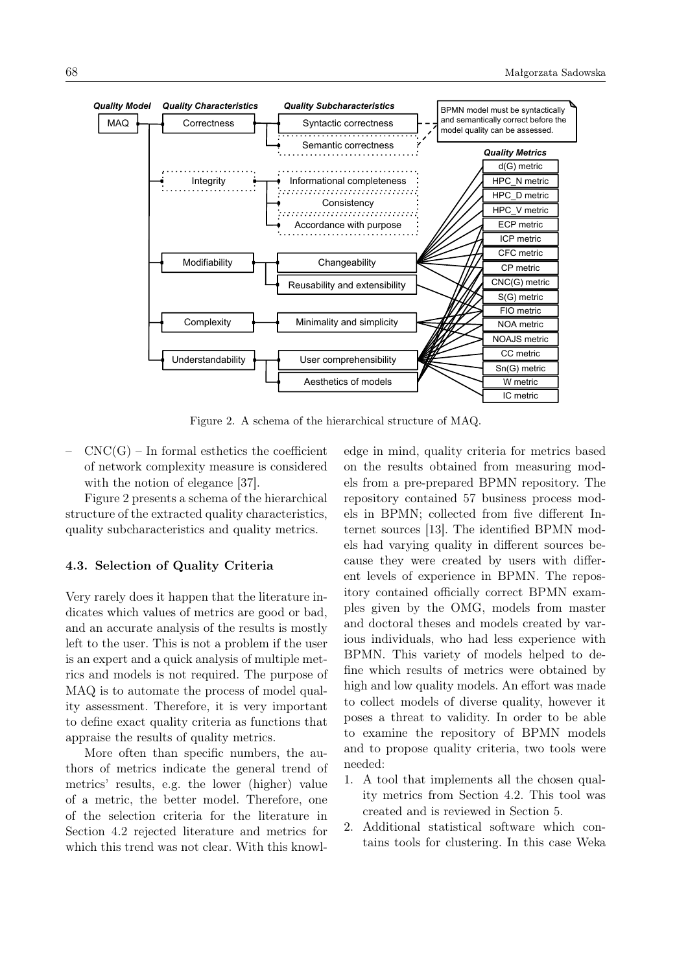

<span id="page-11-0"></span>Figure 2. A schema of the hierarchical structure of MAQ.

 $CNC(G)$  – In formal esthetics the coefficient of network complexity measure is considered with the notion of elegance [\[37\]](#page-20-5).

Figure [2](#page-11-0) presents a schema of the hierarchical structure of the extracted quality characteristics, quality subcharacteristics and quality metrics.

### <span id="page-11-1"></span>4.3. Selection of Quality Criteria

Very rarely does it happen that the literature indicates which values of metrics are good or bad, and an accurate analysis of the results is mostly left to the user. This is not a problem if the user is an expert and a quick analysis of multiple metrics and models is not required. The purpose of MAQ is to automate the process of model quality assessment. Therefore, it is very important to define exact quality criteria as functions that appraise the results of quality metrics.

More often than specific numbers, the authors of metrics indicate the general trend of metrics' results, e.g. the lower (higher) value of a metric, the better model. Therefore, one of the selection criteria for the literature in Section [4.2](#page-5-0) rejected literature and metrics for which this trend was not clear. With this knowledge in mind, quality criteria for metrics based on the results obtained from measuring models from a pre-prepared BPMN repository. The repository contained 57 business process models in BPMN; collected from five different Internet sources [\[13\]](#page-19-5). The identified BPMN models had varying quality in different sources because they were created by users with different levels of experience in BPMN. The repository contained officially correct BPMN examples given by the OMG, models from master and doctoral theses and models created by various individuals, who had less experience with BPMN. This variety of models helped to define which results of metrics were obtained by high and low quality models. An effort was made to collect models of diverse quality, however it poses a threat to validity. In order to be able to examine the repository of BPMN models and to propose quality criteria, two tools were needed:

- 1. A tool that implements all the chosen quality metrics from Section [4.2.](#page-5-0) This tool was created and is reviewed in Section [5.](#page-13-0)
- 2. Additional statistical software which contains tools for clustering. In this case Weka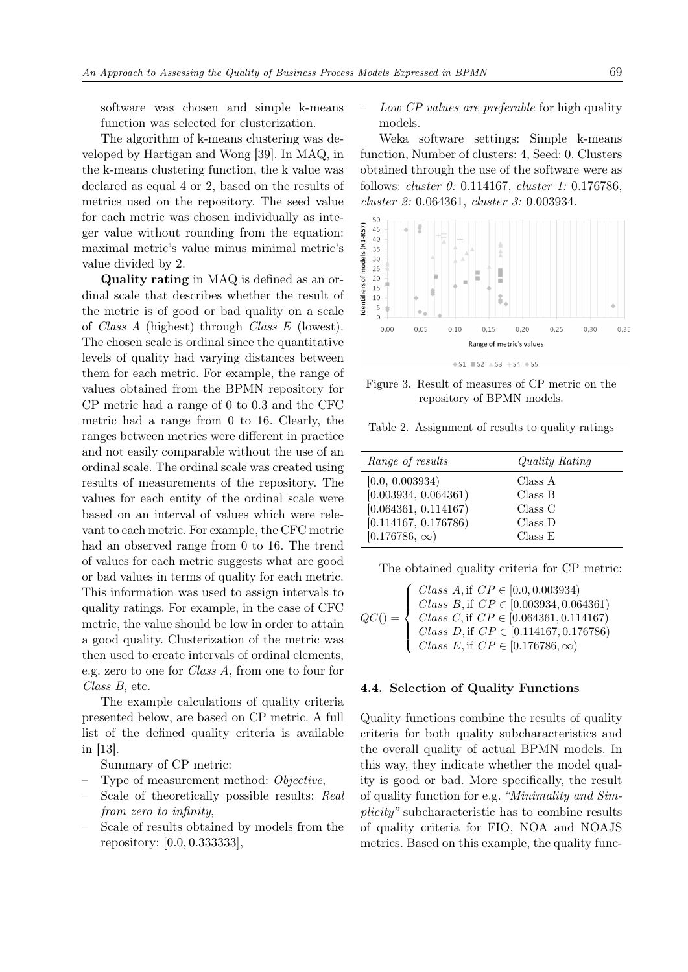software was chosen and simple k-means function was selected for clusterization.

The algorithm of k-means clustering was developed by Hartigan and Wong [\[39\]](#page-20-7). In MAQ, in the k-means clustering function, the k value was declared as equal 4 or 2, based on the results of metrics used on the repository. The seed value for each metric was chosen individually as integer value without rounding from the equation: maximal metric's value minus minimal metric's value divided by 2.

Quality rating in MAQ is defined as an ordinal scale that describes whether the result of the metric is of good or bad quality on a scale of Class A (highest) through Class E (lowest). The chosen scale is ordinal since the quantitative levels of quality had varying distances between them for each metric. For example, the range of values obtained from the BPMN repository for CP metric had a range of 0 to  $0.\overline{3}$  and the CFC metric had a range from 0 to 16. Clearly, the ranges between metrics were different in practice and not easily comparable without the use of an ordinal scale. The ordinal scale was created using results of measurements of the repository. The values for each entity of the ordinal scale were based on an interval of values which were relevant to each metric. For example, the CFC metric had an observed range from 0 to 16. The trend of values for each metric suggests what are good or bad values in terms of quality for each metric. This information was used to assign intervals to quality ratings. For example, in the case of CFC metric, the value should be low in order to attain a good quality. Clusterization of the metric was then used to create intervals of ordinal elements, e.g. zero to one for Class A, from one to four for Class B, etc.

The example calculations of quality criteria presented below, are based on CP metric. A full list of the defined quality criteria is available in [\[13\]](#page-19-5).

Summary of CP metric:

- Type of measurement method: Objective,
- Scale of theoretically possible results: Real from zero to infinity,
- Scale of results obtained by models from the repository: [0.0, 0.333333],

– Low CP values are preferable for high quality models.

Weka software settings: Simple k-means function, Number of clusters: 4, Seed: 0. Clusters obtained through the use of the software were as follows: cluster 0: 0.114167, cluster 1: 0.176786, cluster 2: 0.064361, cluster 3: 0.003934.



 $\div$  S1  $\equiv$  S2  $\triangle$  S3 + S4  $\Rightarrow$  S5

Figure 3. Result of measures of CP metric on the repository of BPMN models.

Table 2. Assignment of results to quality ratings

| Range of results     | Quality Rating |
|----------------------|----------------|
| [0.0, 0.003934]      | Class A        |
| [0.003934, 0.064361] | Class B        |
| [0.064361, 0.114167) | Class C        |
| [0.114167, 0.176786) | Class D        |
| $[0.176786, \infty)$ | Class E        |

The obtained quality criteria for CP metric:

| $QC() = \left\{ \begin{array}{ll} Class\ A, {\rm if}\ CP \in [0.0, 0.003934) \\ Class\ B, {\rm if}\ CP \in [0.003934, 0.064361) \\ Class\ C, {\rm if}\ CP \in [0.064361, 0.114167) \\ Class\ D, {\rm if}\ CP \in [0.114167, 0.176786) \\ Class\ E, {\rm if}\ CP \in [0.176786, \infty) \end{array} \right.$ |
|-------------------------------------------------------------------------------------------------------------------------------------------------------------------------------------------------------------------------------------------------------------------------------------------------------------|

#### 4.4. Selection of Quality Functions

Quality functions combine the results of quality criteria for both quality subcharacteristics and the overall quality of actual BPMN models. In this way, they indicate whether the model quality is good or bad. More specifically, the result of quality function for e.g. "Minimality and Simplicity" subcharacteristic has to combine results of quality criteria for FIO, NOA and NOAJS metrics. Based on this example, the quality func-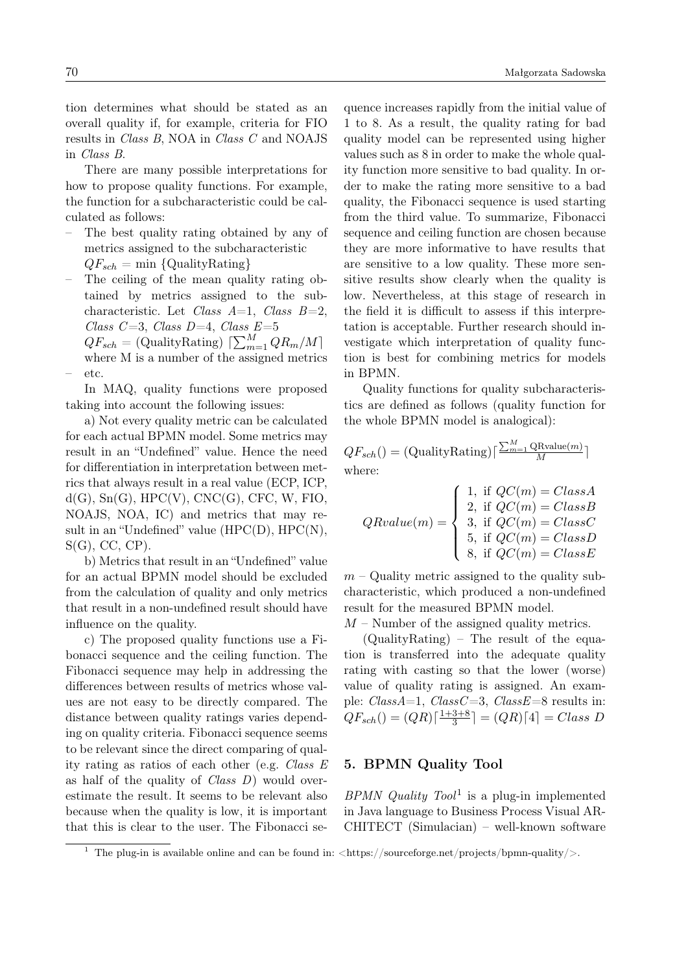There are many possible interpretations for how to propose quality functions. For example, the function for a subcharacteristic could be calculated as follows:

- The best quality rating obtained by any of metrics assigned to the subcharacteristic  $QF_{sch} = \min \{$ QualityRating}
- The ceiling of the mean quality rating obtained by metrics assigned to the subcharacteristic. Let Class  $A=1$ , Class  $B=2$ , Class C=3, Class D=4, Class  $E=5$

 $QF_{sch} = (\text{QualityRating}) \left[ \sum_{m=1}^{M} QR_m/M \right]$ where M is a number of the assigned metrics – etc.

In MAQ, quality functions were proposed taking into account the following issues:

a) Not every quality metric can be calculated for each actual BPMN model. Some metrics may result in an "Undefined" value. Hence the need for differentiation in interpretation between metrics that always result in a real value (ECP, ICP,  $d(G)$ ,  $Sn(G)$ ,  $HPC(V)$ ,  $CNC(G)$ ,  $CFC$ ,  $W$ ,  $FIO$ , NOAJS, NOA, IC) and metrics that may result in an "Undefined" value (HPC(D), HPC(N),  $S(G)$ , CC, CP).

b) Metrics that result in an "Undefined" value for an actual BPMN model should be excluded from the calculation of quality and only metrics that result in a non-undefined result should have influence on the quality.

c) The proposed quality functions use a Fibonacci sequence and the ceiling function. The Fibonacci sequence may help in addressing the differences between results of metrics whose values are not easy to be directly compared. The distance between quality ratings varies depending on quality criteria. Fibonacci sequence seems to be relevant since the direct comparing of quality rating as ratios of each other (e.g. Class E as half of the quality of *Class D*) would overestimate the result. It seems to be relevant also because when the quality is low, it is important that this is clear to the user. The Fibonacci sequence increases rapidly from the initial value of 1 to 8. As a result, the quality rating for bad quality model can be represented using higher values such as 8 in order to make the whole quality function more sensitive to bad quality. In order to make the rating more sensitive to a bad quality, the Fibonacci sequence is used starting from the third value. To summarize, Fibonacci sequence and ceiling function are chosen because they are more informative to have results that are sensitive to a low quality. These more sensitive results show clearly when the quality is low. Nevertheless, at this stage of research in the field it is difficult to assess if this interpretation is acceptable. Further research should investigate which interpretation of quality function is best for combining metrics for models in BPMN.

Quality functions for quality subcharacteristics are defined as follows (quality function for the whole BPMN model is analogical):

 $QF_{sch}() = (\text{QualityRating})\lceil \frac{\sum_{m=1}^{M} \text{QRvalue}(m)}{M}\rceil$ where:

$$
QRvalue(m) = \begin{cases} 1, & \text{if } QC(m) = ClassA \\ 2, & \text{if } QC(m) = ClassB \\ 3, & \text{if } QC(m) = ClassC \\ 5, & \text{if } QC(m) = ClassD \\ 8, & \text{if } QC(m) = ClassE \end{cases}
$$

 $m$  – Quality metric assigned to the quality subcharacteristic, which produced a non-undefined result for the measured BPMN model.

 $M$  – Number of the assigned quality metrics.

(QualityRating) – The result of the equation is transferred into the adequate quality rating with casting so that the lower (worse) value of quality rating is assigned. An example:  $ClassA=1$ ,  $ClassC=3$ ,  $ClassE=8$  results in:  $QF_{sch}() = (QR)\lceil \frac{1+3+8}{3}$  $\frac{3+8}{3}$  =  $(QR)$  [4] = Class D

## <span id="page-13-0"></span>5. BPMN Quality Tool

BPMN Quality  $Tool<sup>1</sup>$  $Tool<sup>1</sup>$  $Tool<sup>1</sup>$  is a plug-in implemented in Java language to Business Process Visual AR-CHITECT (Simulacian) – well-known software

<span id="page-13-1"></span><sup>&</sup>lt;sup>1</sup> The plug-in is available online and can be found in:  $\langle \text{https://sourcefores/ppnn-quality/}>.$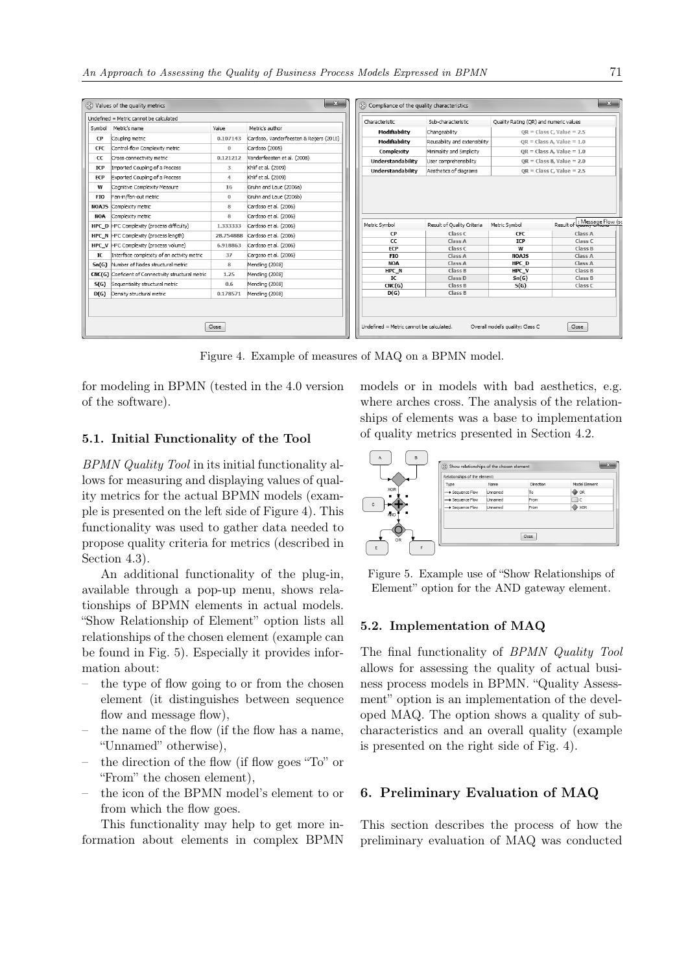|                                         | $\mathbf{x}$<br>$\mathbf{x}$<br>(8) Values of the quality metrics<br>8 Compliance of the quality characteristics |           |                                         |                |                          |                                        |                              |                               |  |
|-----------------------------------------|------------------------------------------------------------------------------------------------------------------|-----------|-----------------------------------------|----------------|--------------------------|----------------------------------------|------------------------------|-------------------------------|--|
| Undefined = Metric cannot be calculated |                                                                                                                  |           |                                         | Characteristic | Sub-characteristic       | Ouality Rating (OR) and numeric values |                              |                               |  |
|                                         | Symbol Metric's name                                                                                             | Value     | Metric's author                         |                | Modifiability            | Changeability                          |                              | $OR = Class C. Value = 2.5$   |  |
| CP                                      | Coupling metric                                                                                                  | 0.107143  | Cardoso, Vanderfeesten & Reijers (2010) |                | Modifiability            | Reusability and extensibility          | $OR = Class A$ , Value = 1.0 |                               |  |
| <b>CFC</b>                              | Control-flow Complexity metric                                                                                   | $\bf{0}$  | Cardoso (2005)                          |                | Complexity               | Minimality and Simplicity              | $OR = Class A. Value = 1.0$  |                               |  |
| CC                                      | Cross-connectivity metric                                                                                        | 0.121212  | Vanderfeesten et al. (2008)             |                | Understandability        | User comprehensibility                 | $OR = Class B. Value = 2.0$  |                               |  |
| <b>ICP</b>                              | Imported Coupling of a Process                                                                                   | 3         | Khlif et al. (2009)                     |                | <b>Understandability</b> | Aesthetics of diagrams                 |                              |                               |  |
| <b>ECP</b>                              | Exported Coupling of a Process                                                                                   | 4         | Khlif et al. (2009)                     |                |                          |                                        | $OR = Class C$ . Value = 2.5 |                               |  |
| w                                       | Cognitive Complexity Measure                                                                                     | 16        | Gruhn and Laue (2006a)                  |                |                          |                                        |                              |                               |  |
| FI <sub>0</sub>                         | Fan-in/fan-out metric                                                                                            | $\bf{0}$  | Gruhn and Laue (2006b)                  |                |                          |                                        |                              |                               |  |
| <b>NOAJS</b>                            | Complexity metric                                                                                                | 8         | Cardoso et al. (2006)                   |                |                          |                                        |                              |                               |  |
| <b>NOA</b>                              | Complexity metric                                                                                                | 8         | Cardoso et al. (2006)                   |                |                          |                                        |                              |                               |  |
|                                         | HPC D HPC Complexity (process difficulty)                                                                        | 1.333333  | Cardoso et al. (2006)                   |                | Metric Symbol            | Result of Quality Criteria             | Metric Symbol                | Result of L: Message Flow (so |  |
|                                         | HPC N HPC Complexity (process length)                                                                            | 28.754888 | Cardoso et al. (2006)                   |                | <b>CP</b>                | Class C                                | <b>CFC</b>                   | Class A                       |  |
|                                         | <b>HPC V</b> HPC Complexity (process volume)                                                                     | 6.918863  | Cardoso et al. (2006)                   |                | CC<br><b>FCP</b>         | Class A                                | <b>ICP</b>                   | Class C                       |  |
| IC                                      | Interface complexity of an activity metric                                                                       | 37        | Cargoso et al. (2006)                   |                | <b>FIO</b>               | Class C<br>Class A                     | w<br><b>NOAJS</b>            | Class B<br>Class A            |  |
| Sn(G)                                   | Number of Nodes structural metric                                                                                | 8         | Mendling (2008)                         |                | <b>NOA</b>               | Class A                                | HPC D                        | Class A                       |  |
|                                         | CNC(G) Coeficient of Connectivity structural metric                                                              | 1.25      | Mendling (2008)                         |                | HPC N                    | Class B                                | HPC V                        | Class B                       |  |
| S(G)                                    | Sequentiality structural metric                                                                                  | 0.6       | Mendling (2008)                         |                | IC                       | Class D                                | Sn(G)                        | Class B                       |  |
| D(G)                                    | Density structural metric                                                                                        | 0.178571  | Mendling (2008)                         |                | CNC(G)<br>D(G)           | Class B<br>Class B                     | S(G)                         | Class C                       |  |
|                                         |                                                                                                                  |           |                                         |                |                          |                                        |                              |                               |  |
|                                         |                                                                                                                  |           |                                         |                |                          |                                        |                              |                               |  |
|                                         | Close<br>Close<br>Undefined = Metric cannot be calculated.<br>Overall model's quality: Class C                   |           |                                         |                |                          |                                        |                              |                               |  |

<span id="page-14-1"></span>Figure 4. Example of measures of MAQ on a BPMN model.

for modeling in BPMN (tested in the 4.0 version of the software).

### 5.1. Initial Functionality of the Tool

BPMN Quality Tool in its initial functionality allows for measuring and displaying values of quality metrics for the actual BPMN models (example is presented on the left side of Figure [4\)](#page-14-1). This functionality was used to gather data needed to propose quality criteria for metrics (described in Section [4.3\)](#page-11-1).

An additional functionality of the plug-in, available through a pop-up menu, shows relationships of BPMN elements in actual models. "Show Relationship of Element" option lists all relationships of the chosen element (example can be found in Fig. [5\)](#page-14-2). Especially it provides information about:

- the type of flow going to or from the chosen element (it distinguishes between sequence flow and message flow),
- the name of the flow (if the flow has a name, "Unnamed" otherwise),
- the direction of the flow (if flow goes "To" or "From" the chosen element),
- the icon of the BPMN model's element to or from which the flow goes.

This functionality may help to get more information about elements in complex BPMN models or in models with bad aesthetics, e.g. where arches cross. The analysis of the relationships of elements was a base to implementation of quality metrics presented in Section [4.2.](#page-5-0)



<span id="page-14-2"></span>Figure 5. Example use of "Show Relationships of Element" option for the AND gateway element.

### 5.2. Implementation of MAQ

The final functionality of BPMN Quality Tool allows for assessing the quality of actual business process models in BPMN. "Quality Assessment" option is an implementation of the developed MAQ. The option shows a quality of subcharacteristics and an overall quality (example is presented on the right side of Fig. [4\)](#page-14-1).

# <span id="page-14-0"></span>6. Preliminary Evaluation of MAQ

This section describes the process of how the preliminary evaluation of MAQ was conducted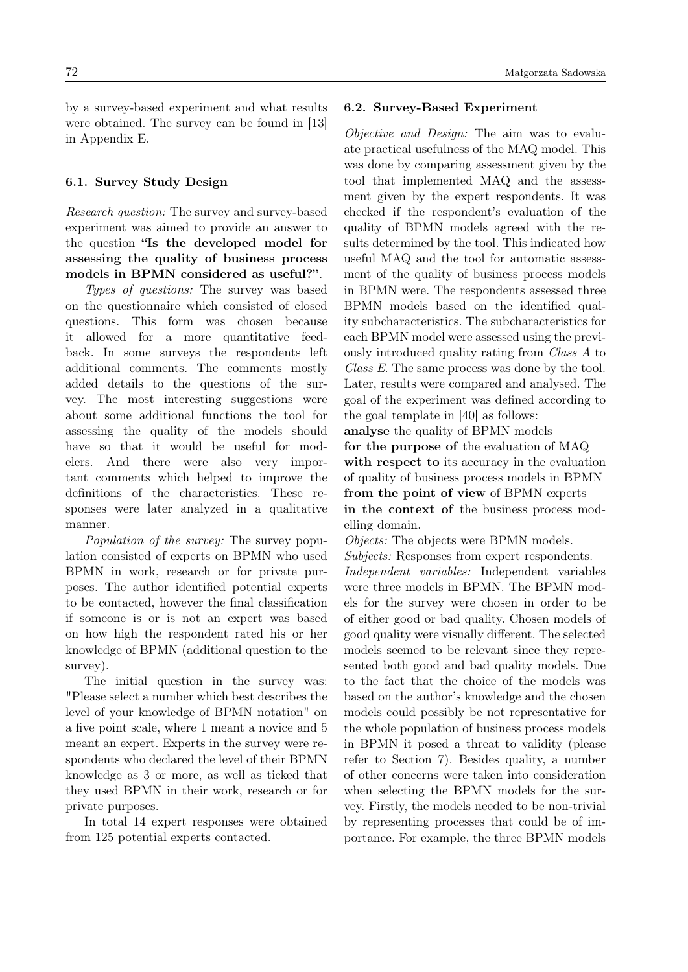by a survey-based experiment and what results were obtained. The survey can be found in [\[13\]](#page-19-5) in Appendix E.

### 6.1. Survey Study Design

Research question: The survey and survey-based experiment was aimed to provide an answer to the question "Is the developed model for assessing the quality of business process models in BPMN considered as useful?".

Types of questions: The survey was based on the questionnaire which consisted of closed questions. This form was chosen because it allowed for a more quantitative feedback. In some surveys the respondents left additional comments. The comments mostly added details to the questions of the survey. The most interesting suggestions were about some additional functions the tool for assessing the quality of the models should have so that it would be useful for modelers. And there were also very important comments which helped to improve the definitions of the characteristics. These responses were later analyzed in a qualitative manner.

Population of the survey: The survey population consisted of experts on BPMN who used BPMN in work, research or for private purposes. The author identified potential experts to be contacted, however the final classification if someone is or is not an expert was based on how high the respondent rated his or her knowledge of BPMN (additional question to the survey).

The initial question in the survey was: "Please select a number which best describes the level of your knowledge of BPMN notation" on a five point scale, where 1 meant a novice and 5 meant an expert. Experts in the survey were respondents who declared the level of their BPMN knowledge as 3 or more, as well as ticked that they used BPMN in their work, research or for private purposes.

In total 14 expert responses were obtained from 125 potential experts contacted.

### 6.2. Survey-Based Experiment

Objective and Design: The aim was to evaluate practical usefulness of the MAQ model. This was done by comparing assessment given by the tool that implemented MAQ and the assessment given by the expert respondents. It was checked if the respondent's evaluation of the quality of BPMN models agreed with the results determined by the tool. This indicated how useful MAQ and the tool for automatic assessment of the quality of business process models in BPMN were. The respondents assessed three BPMN models based on the identified quality subcharacteristics. The subcharacteristics for each BPMN model were assessed using the previously introduced quality rating from Class A to Class E. The same process was done by the tool. Later, results were compared and analysed. The goal of the experiment was defined according to the goal template in [\[40\]](#page-20-8) as follows:

analyse the quality of BPMN models for the purpose of the evaluation of MAQ with respect to its accuracy in the evaluation of quality of business process models in BPMN from the point of view of BPMN experts in the context of the business process modelling domain.

Objects: The objects were BPMN models. Subjects: Responses from expert respondents. Independent variables: Independent variables were three models in BPMN. The BPMN models for the survey were chosen in order to be of either good or bad quality. Chosen models of good quality were visually different. The selected models seemed to be relevant since they represented both good and bad quality models. Due to the fact that the choice of the models was based on the author's knowledge and the chosen models could possibly be not representative for the whole population of business process models in BPMN it posed a threat to validity (please refer to Section [7\)](#page-16-0). Besides quality, a number of other concerns were taken into consideration when selecting the BPMN models for the survey. Firstly, the models needed to be non-trivial by representing processes that could be of importance. For example, the three BPMN models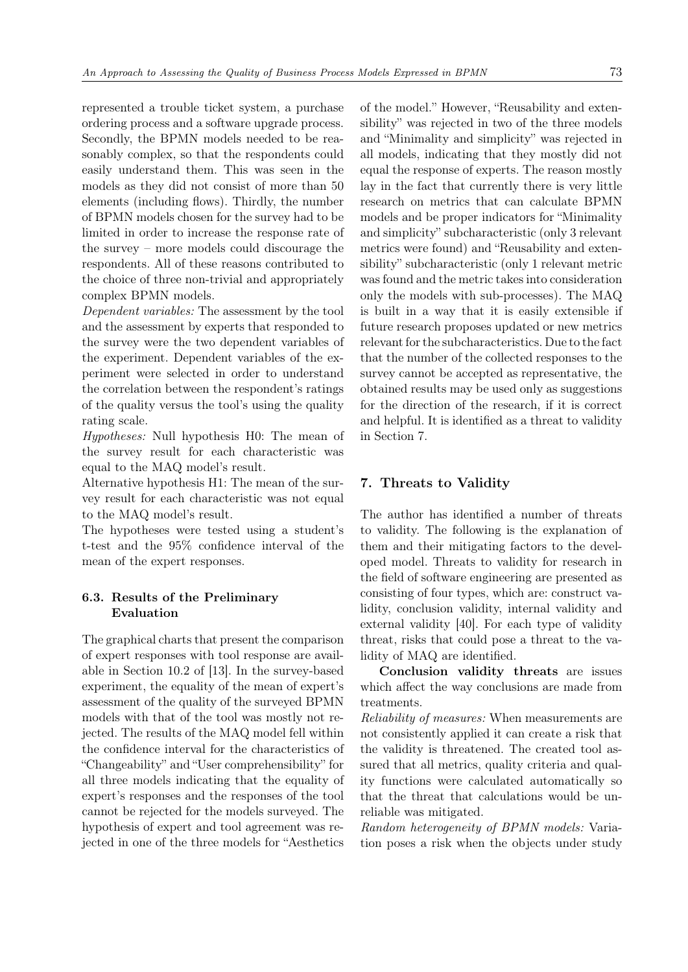represented a trouble ticket system, a purchase ordering process and a software upgrade process. Secondly, the BPMN models needed to be reasonably complex, so that the respondents could easily understand them. This was seen in the models as they did not consist of more than 50 elements (including flows). Thirdly, the number of BPMN models chosen for the survey had to be limited in order to increase the response rate of the survey – more models could discourage the respondents. All of these reasons contributed to the choice of three non-trivial and appropriately complex BPMN models.

Dependent variables: The assessment by the tool and the assessment by experts that responded to the survey were the two dependent variables of the experiment. Dependent variables of the experiment were selected in order to understand the correlation between the respondent's ratings of the quality versus the tool's using the quality rating scale.

Hypotheses: Null hypothesis H0: The mean of the survey result for each characteristic was equal to the MAQ model's result.

Alternative hypothesis H1: The mean of the survey result for each characteristic was not equal to the MAQ model's result.

The hypotheses were tested using a student's t-test and the 95% confidence interval of the mean of the expert responses.

## 6.3. Results of the Preliminary Evaluation

The graphical charts that present the comparison of expert responses with tool response are available in Section 10.2 of [\[13\]](#page-19-5). In the survey-based experiment, the equality of the mean of expert's assessment of the quality of the surveyed BPMN models with that of the tool was mostly not rejected. The results of the MAQ model fell within the confidence interval for the characteristics of "Changeability" and "User comprehensibility" for all three models indicating that the equality of expert's responses and the responses of the tool cannot be rejected for the models surveyed. The hypothesis of expert and tool agreement was rejected in one of the three models for "Aesthetics of the model." However, "Reusability and extensibility" was rejected in two of the three models and "Minimality and simplicity" was rejected in all models, indicating that they mostly did not equal the response of experts. The reason mostly lay in the fact that currently there is very little research on metrics that can calculate BPMN models and be proper indicators for "Minimality and simplicity" subcharacteristic (only 3 relevant metrics were found) and "Reusability and extensibility" subcharacteristic (only 1 relevant metric was found and the metric takes into consideration only the models with sub-processes). The MAQ is built in a way that it is easily extensible if future research proposes updated or new metrics relevant for the subcharacteristics. Due to the fact that the number of the collected responses to the survey cannot be accepted as representative, the obtained results may be used only as suggestions for the direction of the research, if it is correct and helpful. It is identified as a threat to validity in Section [7.](#page-16-0)

### <span id="page-16-0"></span>7. Threats to Validity

The author has identified a number of threats to validity. The following is the explanation of them and their mitigating factors to the developed model. Threats to validity for research in the field of software engineering are presented as consisting of four types, which are: construct validity, conclusion validity, internal validity and external validity [\[40\]](#page-20-8). For each type of validity threat, risks that could pose a threat to the validity of MAQ are identified.

Conclusion validity threats are issues which affect the way conclusions are made from treatments.

Reliability of measures: When measurements are not consistently applied it can create a risk that the validity is threatened. The created tool assured that all metrics, quality criteria and quality functions were calculated automatically so that the threat that calculations would be unreliable was mitigated.

Random heterogeneity of BPMN models: Variation poses a risk when the objects under study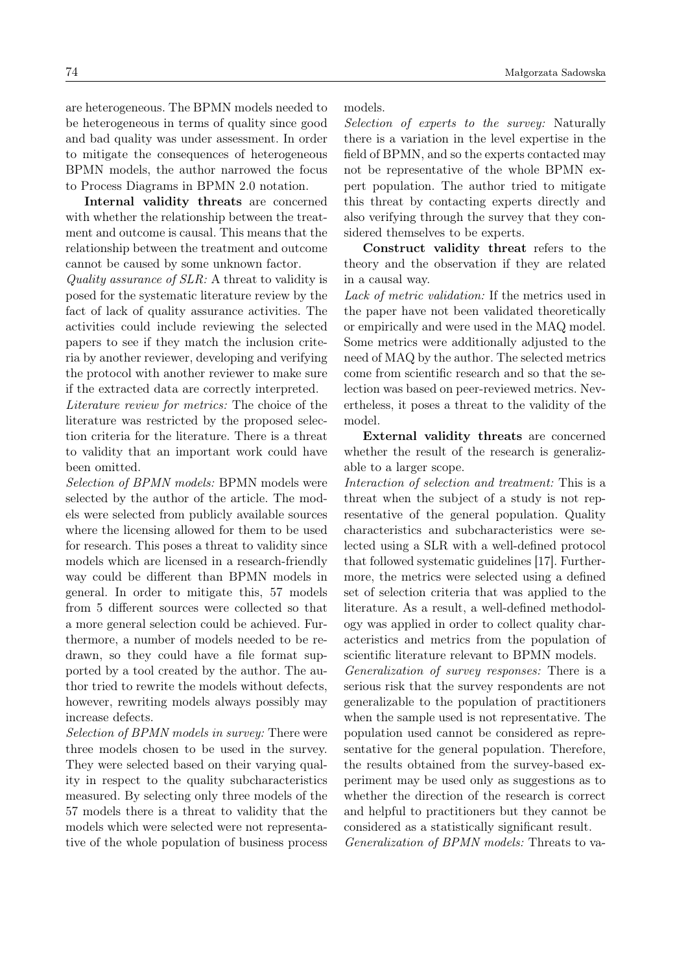are heterogeneous. The BPMN models needed to be heterogeneous in terms of quality since good and bad quality was under assessment. In order to mitigate the consequences of heterogeneous BPMN models, the author narrowed the focus to Process Diagrams in BPMN 2.0 notation.

Internal validity threats are concerned with whether the relationship between the treatment and outcome is causal. This means that the relationship between the treatment and outcome cannot be caused by some unknown factor.

Quality assurance of SLR: A threat to validity is posed for the systematic literature review by the fact of lack of quality assurance activities. The activities could include reviewing the selected papers to see if they match the inclusion criteria by another reviewer, developing and verifying the protocol with another reviewer to make sure if the extracted data are correctly interpreted.

Literature review for metrics: The choice of the literature was restricted by the proposed selection criteria for the literature. There is a threat to validity that an important work could have been omitted.

Selection of BPMN models: BPMN models were selected by the author of the article. The models were selected from publicly available sources where the licensing allowed for them to be used for research. This poses a threat to validity since models which are licensed in a research-friendly way could be different than BPMN models in general. In order to mitigate this, 57 models from 5 different sources were collected so that a more general selection could be achieved. Furthermore, a number of models needed to be redrawn, so they could have a file format supported by a tool created by the author. The author tried to rewrite the models without defects, however, rewriting models always possibly may increase defects.

Selection of BPMN models in survey: There were three models chosen to be used in the survey. They were selected based on their varying quality in respect to the quality subcharacteristics measured. By selecting only three models of the 57 models there is a threat to validity that the models which were selected were not representative of the whole population of business process models.

Selection of experts to the survey: Naturally there is a variation in the level expertise in the field of BPMN, and so the experts contacted may not be representative of the whole BPMN expert population. The author tried to mitigate this threat by contacting experts directly and also verifying through the survey that they considered themselves to be experts.

Construct validity threat refers to the theory and the observation if they are related in a causal way.

Lack of metric validation: If the metrics used in the paper have not been validated theoretically or empirically and were used in the MAQ model. Some metrics were additionally adjusted to the need of MAQ by the author. The selected metrics come from scientific research and so that the selection was based on peer-reviewed metrics. Nevertheless, it poses a threat to the validity of the model.

External validity threats are concerned whether the result of the research is generalizable to a larger scope.

Interaction of selection and treatment: This is a threat when the subject of a study is not representative of the general population. Quality characteristics and subcharacteristics were selected using a SLR with a well-defined protocol that followed systematic guidelines [\[17\]](#page-19-9). Furthermore, the metrics were selected using a defined set of selection criteria that was applied to the literature. As a result, a well-defined methodology was applied in order to collect quality characteristics and metrics from the population of scientific literature relevant to BPMN models.

Generalization of survey responses: There is a serious risk that the survey respondents are not generalizable to the population of practitioners when the sample used is not representative. The population used cannot be considered as representative for the general population. Therefore, the results obtained from the survey-based experiment may be used only as suggestions as to whether the direction of the research is correct and helpful to practitioners but they cannot be considered as a statistically significant result. Generalization of BPMN models: Threats to va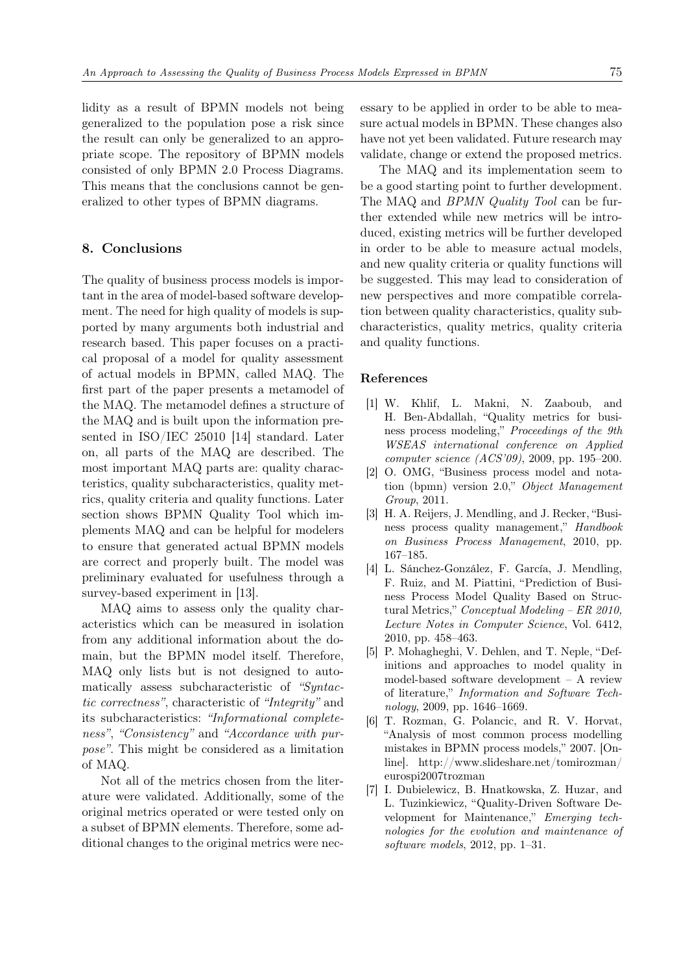lidity as a result of BPMN models not being generalized to the population pose a risk since the result can only be generalized to an appropriate scope. The repository of BPMN models consisted of only BPMN 2.0 Process Diagrams. This means that the conclusions cannot be generalized to other types of BPMN diagrams.

### <span id="page-18-7"></span>8. Conclusions

The quality of business process models is important in the area of model-based software development. The need for high quality of models is supported by many arguments both industrial and research based. This paper focuses on a practical proposal of a model for quality assessment of actual models in BPMN, called MAQ. The first part of the paper presents a metamodel of the MAQ. The metamodel defines a structure of the MAQ and is built upon the information presented in ISO/IEC 25010 [\[14\]](#page-19-6) standard. Later on, all parts of the MAQ are described. The most important MAQ parts are: quality characteristics, quality subcharacteristics, quality metrics, quality criteria and quality functions. Later section shows BPMN Quality Tool which implements MAQ and can be helpful for modelers to ensure that generated actual BPMN models are correct and properly built. The model was preliminary evaluated for usefulness through a survey-based experiment in [\[13\]](#page-19-5).

MAQ aims to assess only the quality characteristics which can be measured in isolation from any additional information about the domain, but the BPMN model itself. Therefore, MAQ only lists but is not designed to automatically assess subcharacteristic of "Syntactic correctness", characteristic of "Integrity" and its subcharacteristics: "Informational completeness", "Consistency" and "Accordance with purpose". This might be considered as a limitation of MAQ.

Not all of the metrics chosen from the literature were validated. Additionally, some of the original metrics operated or were tested only on a subset of BPMN elements. Therefore, some additional changes to the original metrics were necessary to be applied in order to be able to measure actual models in BPMN. These changes also have not yet been validated. Future research may validate, change or extend the proposed metrics.

The MAQ and its implementation seem to be a good starting point to further development. The MAQ and BPMN Quality Tool can be further extended while new metrics will be introduced, existing metrics will be further developed in order to be able to measure actual models, and new quality criteria or quality functions will be suggested. This may lead to consideration of new perspectives and more compatible correlation between quality characteristics, quality subcharacteristics, quality metrics, quality criteria and quality functions.

#### References

- <span id="page-18-0"></span>[1] W. Khlif, L. Makni, N. Zaaboub, and H. Ben-Abdallah, "Quality metrics for business process modeling," Proceedings of the 9th WSEAS international conference on Applied computer science (ACS'09), 2009, pp. 195–200.
- <span id="page-18-1"></span>[2] O. OMG, "Business process model and notation (bpmn) version 2.0," Object Management Group, 2011.
- <span id="page-18-2"></span>[3] H. A. Reijers, J. Mendling, and J. Recker, "Business process quality management," Handbook on Business Process Management, 2010, pp. 167–185.
- <span id="page-18-3"></span>[4] L. Sánchez-González, F. García, J. Mendling, F. Ruiz, and M. Piattini, "Prediction of Business Process Model Quality Based on Structural Metrics," Conceptual Modeling – ER 2010, Lecture Notes in Computer Science, Vol. 6412, 2010, pp. 458–463.
- <span id="page-18-4"></span>[5] P. Mohagheghi, V. Dehlen, and T. Neple, "Definitions and approaches to model quality in model-based software development – A review of literature," Information and Software Technology, 2009, pp. 1646–1669.
- <span id="page-18-5"></span>[6] T. Rozman, G. Polancic, and R. V. Horvat, "Analysis of most common process modelling mistakes in BPMN process models," 2007. [Online]. [http://www.slideshare.net/tomirozman/](http://www.slideshare.net/tomirozman/eurospi2007trozman) [eurospi2007trozman](http://www.slideshare.net/tomirozman/eurospi2007trozman)
- <span id="page-18-6"></span>[7] I. Dubielewicz, B. Hnatkowska, Z. Huzar, and L. Tuzinkiewicz, "Quality-Driven Software Development for Maintenance," Emerging technologies for the evolution and maintenance of software models, 2012, pp. 1–31.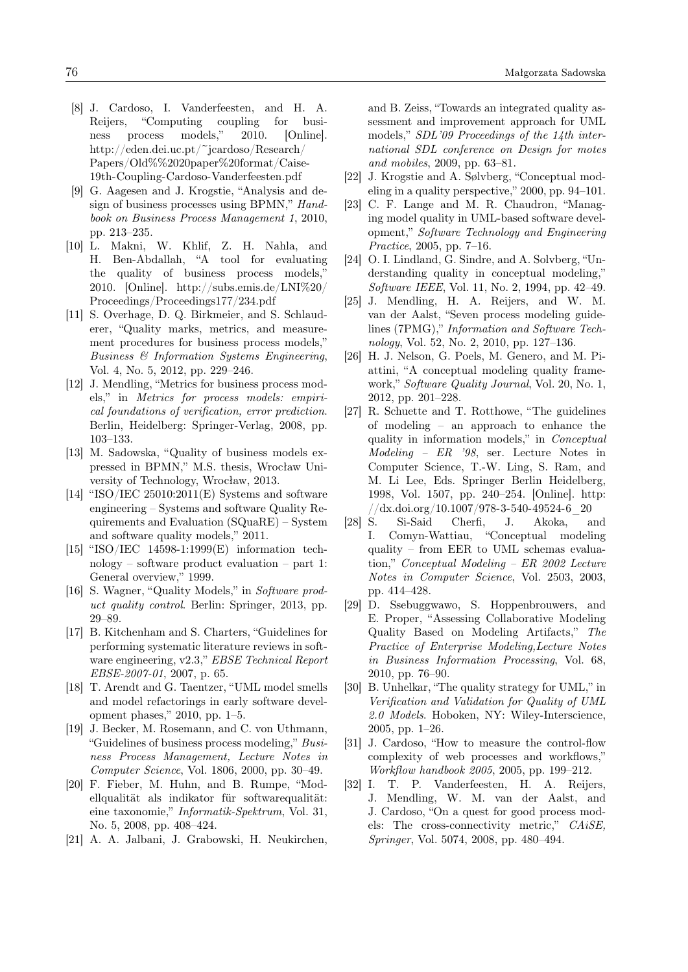- <span id="page-19-0"></span>[8] J. Cardoso, I. Vanderfeesten, and H. A. Reijers, "Computing coupling for business process models," 2010. [Online]. [http://eden.dei.uc.pt/~jcardoso/Research/](http://eden.dei.uc.pt/~jcardoso/Research/Papers/Old%%2020paper%20format/Caise-19th-Coupling-Cardoso-Vanderfeesten.pdf) [Papers/Old%%2020paper%20format/Caise-](http://eden.dei.uc.pt/~jcardoso/Research/Papers/Old%%2020paper%20format/Caise-19th-Coupling-Cardoso-Vanderfeesten.pdf)[19th-Coupling-Cardoso-Vanderfeesten.pdf](http://eden.dei.uc.pt/~jcardoso/Research/Papers/Old%%2020paper%20format/Caise-19th-Coupling-Cardoso-Vanderfeesten.pdf)
- <span id="page-19-1"></span>[9] G. Aagesen and J. Krogstie, "Analysis and design of business processes using BPMN," Handbook on Business Process Management 1, 2010, pp. 213–235.
- <span id="page-19-2"></span>[10] L. Makni, W. Khlif, Z. H. Nahla, and H. Ben-Abdallah, "A tool for evaluating the quality of business process models," 2010. [Online]. [http://subs.emis.de/LNI%20/](http://subs.emis.de/LNI%20/Proceedings/Proceedings177/234.pdf) [Proceedings/Proceedings177/234.pdf](http://subs.emis.de/LNI%20/Proceedings/Proceedings177/234.pdf)
- <span id="page-19-3"></span>[11] S. Overhage, D. Q. Birkmeier, and S. Schlauderer, "Quality marks, metrics, and measurement procedures for business process models," Business & Information Systems Engineering, Vol. 4, No. 5, 2012, pp. 229–246.
- <span id="page-19-4"></span>[12] J. Mendling, "Metrics for business process models," in Metrics for process models: empirical foundations of verification, error prediction. Berlin, Heidelberg: Springer-Verlag, 2008, pp. 103–133.
- <span id="page-19-5"></span>[13] M. Sadowska, "Quality of business models expressed in BPMN," M.S. thesis, Wrocław University of Technology, Wrocław, 2013.
- <span id="page-19-6"></span>[14] "ISO/IEC 25010:2011(E) Systems and software engineering – Systems and software Quality Requirements and Evaluation (SQuaRE) – System and software quality models," 2011.
- <span id="page-19-7"></span>[15] "ISO/IEC 14598-1:1999(E) information technology – software product evaluation – part 1: General overview," 1999.
- <span id="page-19-8"></span>[16] S. Wagner, "Quality Models," in Software product quality control. Berlin: Springer, 2013, pp. 29–89.
- <span id="page-19-9"></span>[17] B. Kitchenham and S. Charters, "Guidelines for performing systematic literature reviews in software engineering, v2.3," EBSE Technical Report EBSE-2007-01, 2007, p. 65.
- <span id="page-19-10"></span>[18] T. Arendt and G. Taentzer, "UML model smells and model refactorings in early software development phases," 2010, pp. 1–5.
- [19] J. Becker, M. Rosemann, and C. von Uthmann, "Guidelines of business process modeling," Business Process Management, Lecture Notes in Computer Science, Vol. 1806, 2000, pp. 30–49.
- [20] F. Fieber, M. Huhn, and B. Rumpe, "Modellqualität als indikator für softwarequalität: eine taxonomie," Informatik-Spektrum, Vol. 31, No. 5, 2008, pp. 408–424.
- [21] A. A. Jalbani, J. Grabowski, H. Neukirchen,

and B. Zeiss, "Towards an integrated quality assessment and improvement approach for UML models," SDL'09 Proceedings of the 14th international SDL conference on Design for motes and mobiles, 2009, pp. 63–81.

- [22] J. Krogstie and A. Sølvberg, "Conceptual modeling in a quality perspective," 2000, pp. 94–101.
- [23] C. F. Lange and M. R. Chaudron, "Managing model quality in UML-based software development," Software Technology and Engineering Practice, 2005, pp. 7–16.
- [24] O. I. Lindland, G. Sindre, and A. Solvberg, "Understanding quality in conceptual modeling," Software IEEE, Vol. 11, No. 2, 1994, pp. 42–49.
- [25] J. Mendling, H. A. Reijers, and W. M. van der Aalst, "Seven process modeling guidelines (7PMG)," Information and Software Technology, Vol. 52, No. 2, 2010, pp. 127–136.
- [26] H. J. Nelson, G. Poels, M. Genero, and M. Piattini, "A conceptual modeling quality framework," Software Quality Journal, Vol. 20, No. 1, 2012, pp. 201–228.
- [27] R. Schuette and T. Rotthowe, "The guidelines of modeling – an approach to enhance the quality in information models," in Conceptual Modeling – ER '98, ser. Lecture Notes in Computer Science, T.-W. Ling, S. Ram, and M. Li Lee, Eds. Springer Berlin Heidelberg, 1998, Vol. 1507, pp. 240–254. [Online]. [http:](http://dx.doi.org/10.1007/978-3-540-49524-6_20)  $//dx.doi.org/10.1007/978-3-540-49524-6$  20
- [28] S. Si-Said Cherfi, J. Akoka, and I. Comyn-Wattiau, "Conceptual modeling quality – from EER to UML schemas evaluation," Conceptual Modeling – ER 2002 Lecture Notes in Computer Science, Vol. 2503, 2003, pp. 414–428.
- [29] D. Ssebuggwawo, S. Hoppenbrouwers, and E. Proper, "Assessing Collaborative Modeling Quality Based on Modeling Artifacts," The Practice of Enterprise Modeling,Lecture Notes in Business Information Processing, Vol. 68, 2010, pp. 76–90.
- <span id="page-19-11"></span>[30] B. Unhelkar, "The quality strategy for UML," in Verification and Validation for Quality of UML 2.0 Models. Hoboken, NY: Wiley-Interscience, 2005, pp. 1–26.
- <span id="page-19-12"></span>[31] J. Cardoso, "How to measure the control-flow complexity of web processes and workflows," Workflow handbook 2005, 2005, pp. 199–212.
- <span id="page-19-13"></span>[32] I. T. P. Vanderfeesten, H. A. Reijers, J. Mendling, W. M. van der Aalst, and J. Cardoso, "On a quest for good process models: The cross-connectivity metric," CAiSE, Springer, Vol. 5074, 2008, pp. 480–494.